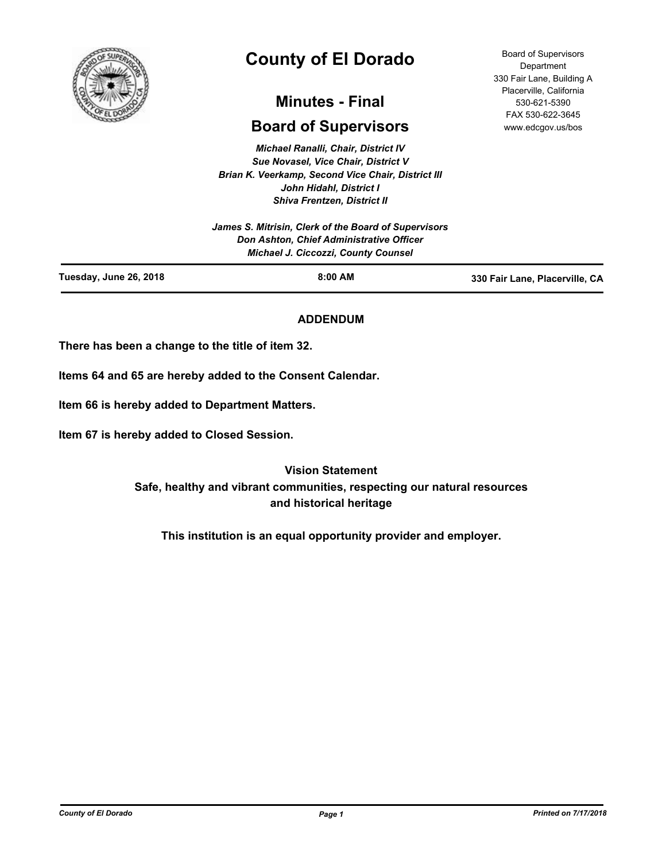

# **County of El Dorado**

## **Minutes - Final**

## **Board of Supervisors**

*Michael Ranalli, Chair, District IV Sue Novasel, Vice Chair, District V Brian K. Veerkamp, Second Vice Chair, District III John Hidahl, District I Shiva Frentzen, District II*

| Tuesday, June 26, 2018 | $8:00$ AM                                            | 330 Fair Lane, Placerville, CA |
|------------------------|------------------------------------------------------|--------------------------------|
|                        | <b>Michael J. Ciccozzi, County Counsel</b>           |                                |
|                        | Don Ashton, Chief Administrative Officer             |                                |
|                        | James S. Mitrisin, Clerk of the Board of Supervisors |                                |
|                        |                                                      |                                |

## **ADDENDUM**

**There has been a change to the title of item 32.**

**Items 64 and 65 are hereby added to the Consent Calendar.**

**Item 66 is hereby added to Department Matters.**

**Item 67 is hereby added to Closed Session.**

**Vision Statement Safe, healthy and vibrant communities, respecting our natural resources and historical heritage**

**This institution is an equal opportunity provider and employer.**

*County of El Dorado Page 1 Printed on 7/17/2018*

Board of Supervisors **Department** 330 Fair Lane, Building A Placerville, California 530-621-5390 FAX 530-622-3645 www.edcgov.us/bos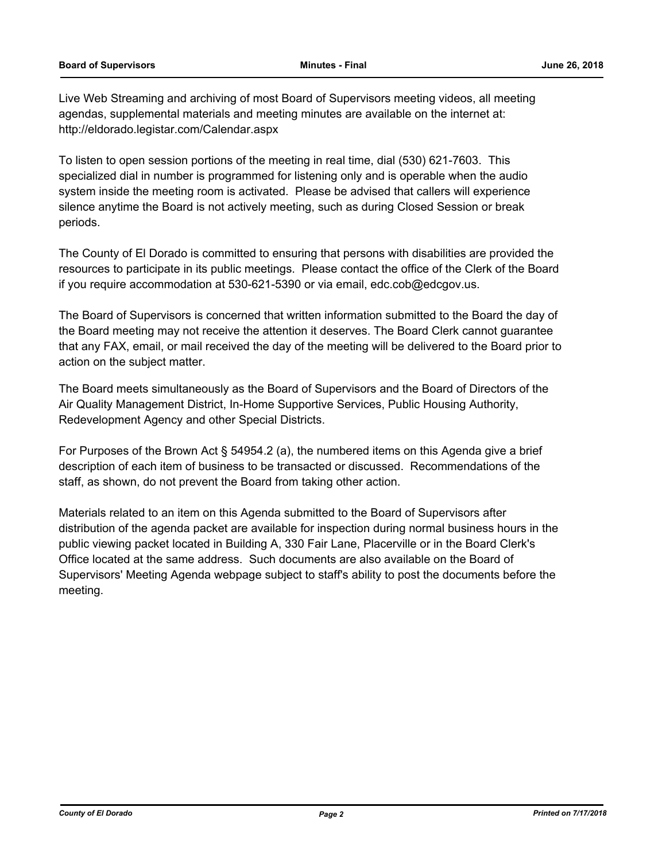Live Web Streaming and archiving of most Board of Supervisors meeting videos, all meeting agendas, supplemental materials and meeting minutes are available on the internet at: http://eldorado.legistar.com/Calendar.aspx

To listen to open session portions of the meeting in real time, dial (530) 621-7603. This specialized dial in number is programmed for listening only and is operable when the audio system inside the meeting room is activated. Please be advised that callers will experience silence anytime the Board is not actively meeting, such as during Closed Session or break periods.

The County of El Dorado is committed to ensuring that persons with disabilities are provided the resources to participate in its public meetings. Please contact the office of the Clerk of the Board if you require accommodation at 530-621-5390 or via email, edc.cob@edcgov.us.

The Board of Supervisors is concerned that written information submitted to the Board the day of the Board meeting may not receive the attention it deserves. The Board Clerk cannot guarantee that any FAX, email, or mail received the day of the meeting will be delivered to the Board prior to action on the subject matter.

The Board meets simultaneously as the Board of Supervisors and the Board of Directors of the Air Quality Management District, In-Home Supportive Services, Public Housing Authority, Redevelopment Agency and other Special Districts.

For Purposes of the Brown Act § 54954.2 (a), the numbered items on this Agenda give a brief description of each item of business to be transacted or discussed. Recommendations of the staff, as shown, do not prevent the Board from taking other action.

Materials related to an item on this Agenda submitted to the Board of Supervisors after distribution of the agenda packet are available for inspection during normal business hours in the public viewing packet located in Building A, 330 Fair Lane, Placerville or in the Board Clerk's Office located at the same address. Such documents are also available on the Board of Supervisors' Meeting Agenda webpage subject to staff's ability to post the documents before the meeting.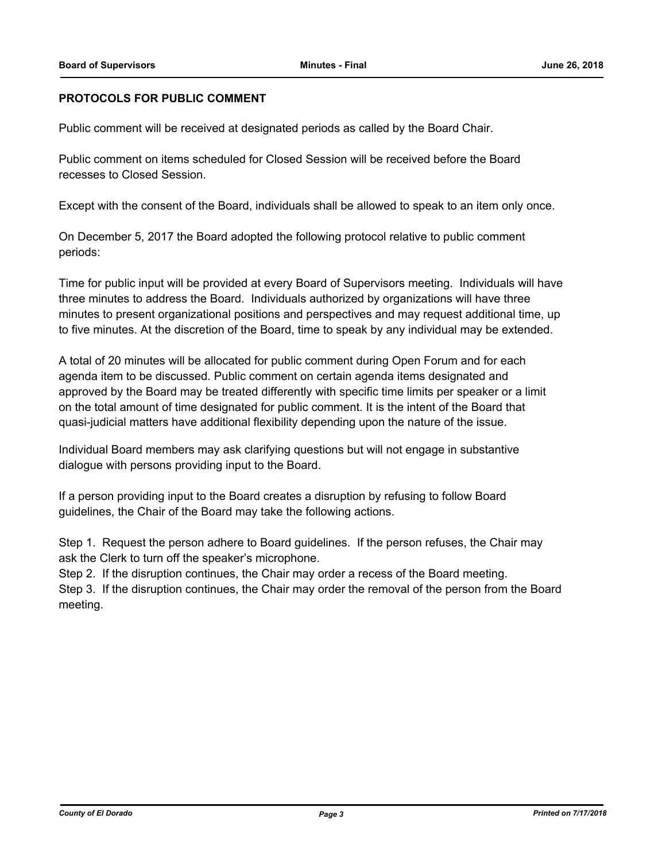## **PROTOCOLS FOR PUBLIC COMMENT**

Public comment will be received at designated periods as called by the Board Chair.

Public comment on items scheduled for Closed Session will be received before the Board recesses to Closed Session.

Except with the consent of the Board, individuals shall be allowed to speak to an item only once.

On December 5, 2017 the Board adopted the following protocol relative to public comment periods:

Time for public input will be provided at every Board of Supervisors meeting. Individuals will have three minutes to address the Board. Individuals authorized by organizations will have three minutes to present organizational positions and perspectives and may request additional time, up to five minutes. At the discretion of the Board, time to speak by any individual may be extended.

A total of 20 minutes will be allocated for public comment during Open Forum and for each agenda item to be discussed. Public comment on certain agenda items designated and approved by the Board may be treated differently with specific time limits per speaker or a limit on the total amount of time designated for public comment. It is the intent of the Board that quasi-judicial matters have additional flexibility depending upon the nature of the issue.

Individual Board members may ask clarifying questions but will not engage in substantive dialogue with persons providing input to the Board.

If a person providing input to the Board creates a disruption by refusing to follow Board guidelines, the Chair of the Board may take the following actions.

Step 1. Request the person adhere to Board guidelines. If the person refuses, the Chair may ask the Clerk to turn off the speaker's microphone.

Step 2. If the disruption continues, the Chair may order a recess of the Board meeting.

Step 3. If the disruption continues, the Chair may order the removal of the person from the Board meeting.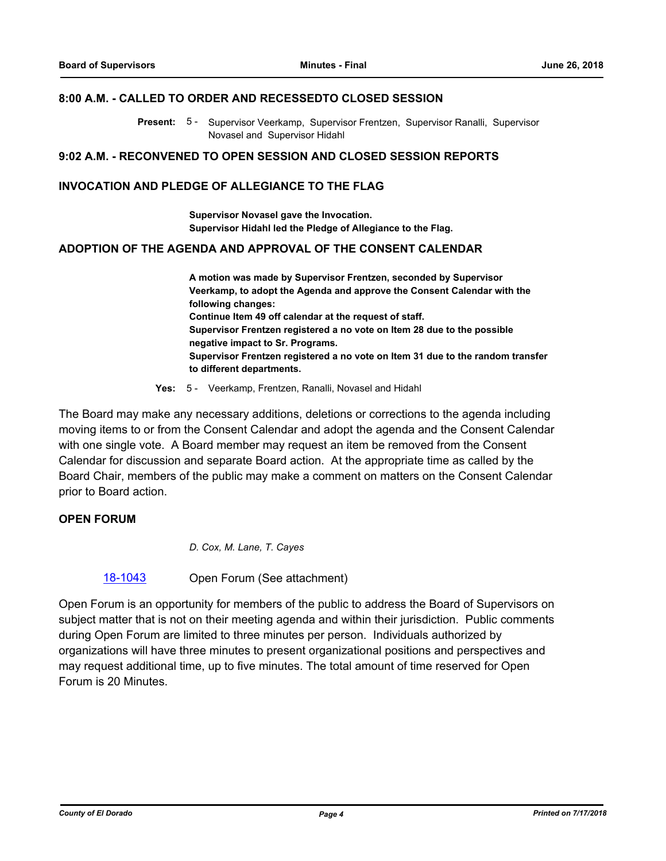#### **8:00 A.M. - CALLED TO ORDER AND RECESSEDTO CLOSED SESSION**

Present: 5 - Supervisor Veerkamp, Supervisor Frentzen, Supervisor Ranalli, Supervisor Novasel and Supervisor Hidahl

#### **9:02 A.M. - RECONVENED TO OPEN SESSION AND CLOSED SESSION REPORTS**

### **INVOCATION AND PLEDGE OF ALLEGIANCE TO THE FLAG**

**Supervisor Novasel gave the Invocation. Supervisor Hidahl led the Pledge of Allegiance to the Flag.**

#### **ADOPTION OF THE AGENDA AND APPROVAL OF THE CONSENT CALENDAR**

**A motion was made by Supervisor Frentzen, seconded by Supervisor Veerkamp, to adopt the Agenda and approve the Consent Calendar with the following changes: Continue Item 49 off calendar at the request of staff. Supervisor Frentzen registered a no vote on Item 28 due to the possible negative impact to Sr. Programs. Supervisor Frentzen registered a no vote on Item 31 due to the random transfer to different departments.**

**Yes:** 5 - Veerkamp, Frentzen, Ranalli, Novasel and Hidahl

The Board may make any necessary additions, deletions or corrections to the agenda including moving items to or from the Consent Calendar and adopt the agenda and the Consent Calendar with one single vote. A Board member may request an item be removed from the Consent Calendar for discussion and separate Board action. At the appropriate time as called by the Board Chair, members of the public may make a comment on matters on the Consent Calendar prior to Board action.

### **OPEN FORUM**

*D. Cox, M. Lane, T. Cayes*

[18-1043](http://eldorado.legistar.com/gateway.aspx?m=l&id=/matter.aspx?key=24392) Open Forum (See attachment)

Open Forum is an opportunity for members of the public to address the Board of Supervisors on subject matter that is not on their meeting agenda and within their jurisdiction. Public comments during Open Forum are limited to three minutes per person. Individuals authorized by organizations will have three minutes to present organizational positions and perspectives and may request additional time, up to five minutes. The total amount of time reserved for Open Forum is 20 Minutes.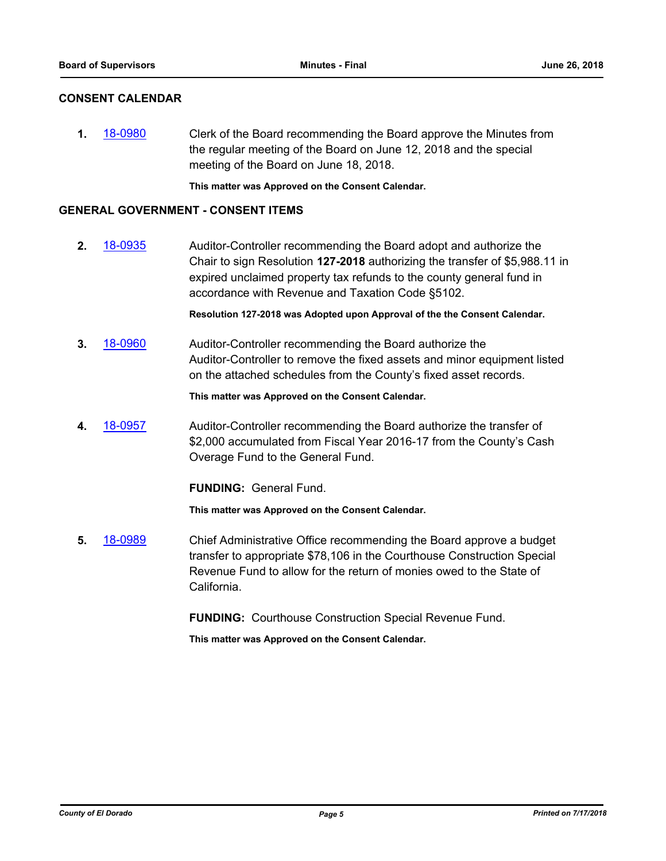## **CONSENT CALENDAR**

**1.** [18-0980](http://eldorado.legistar.com/gateway.aspx?m=l&id=/matter.aspx?key=24328) Clerk of the Board recommending the Board approve the Minutes from the regular meeting of the Board on June 12, 2018 and the special meeting of the Board on June 18, 2018.

**This matter was Approved on the Consent Calendar.**

#### **GENERAL GOVERNMENT - CONSENT ITEMS**

**2.** [18-0935](http://eldorado.legistar.com/gateway.aspx?m=l&id=/matter.aspx?key=24283) Auditor-Controller recommending the Board adopt and authorize the Chair to sign Resolution **127-2018** authorizing the transfer of \$5,988.11 in expired unclaimed property tax refunds to the county general fund in accordance with Revenue and Taxation Code §5102.

**Resolution 127-2018 was Adopted upon Approval of the the Consent Calendar.**

**3.** [18-0960](http://eldorado.legistar.com/gateway.aspx?m=l&id=/matter.aspx?key=24308) Auditor-Controller recommending the Board authorize the Auditor-Controller to remove the fixed assets and minor equipment listed on the attached schedules from the County's fixed asset records.

**This matter was Approved on the Consent Calendar.**

**4.** [18-0957](http://eldorado.legistar.com/gateway.aspx?m=l&id=/matter.aspx?key=24305) Auditor-Controller recommending the Board authorize the transfer of \$2,000 accumulated from Fiscal Year 2016-17 from the County's Cash Overage Fund to the General Fund.

**FUNDING:** General Fund.

**This matter was Approved on the Consent Calendar.**

**5.** [18-0989](http://eldorado.legistar.com/gateway.aspx?m=l&id=/matter.aspx?key=24337) Chief Administrative Office recommending the Board approve a budget transfer to appropriate \$78,106 in the Courthouse Construction Special Revenue Fund to allow for the return of monies owed to the State of California.

**FUNDING:** Courthouse Construction Special Revenue Fund.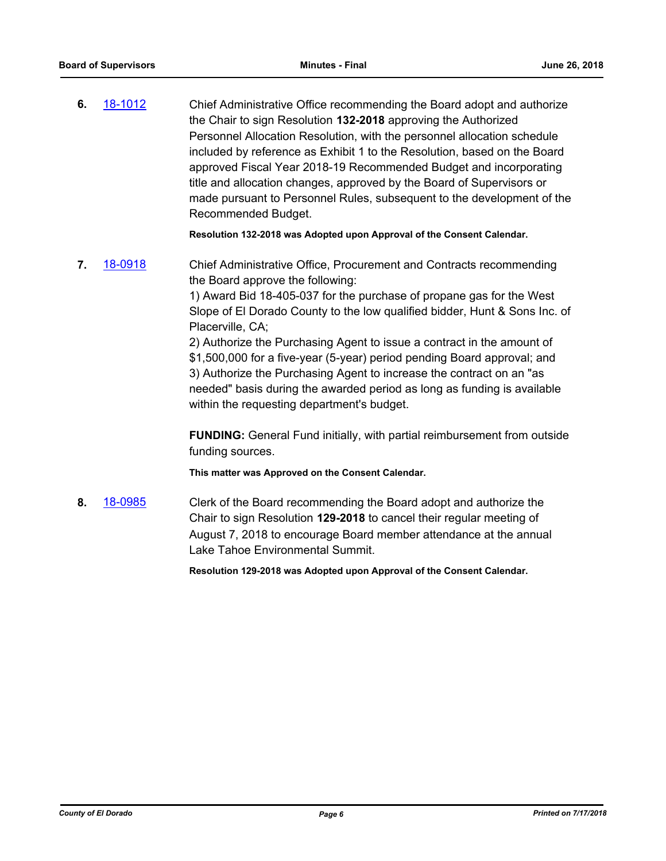**6.** [18-1012](http://eldorado.legistar.com/gateway.aspx?m=l&id=/matter.aspx?key=24361) Chief Administrative Office recommending the Board adopt and authorize the Chair to sign Resolution **132-2018** approving the Authorized Personnel Allocation Resolution, with the personnel allocation schedule included by reference as Exhibit 1 to the Resolution, based on the Board approved Fiscal Year 2018-19 Recommended Budget and incorporating title and allocation changes, approved by the Board of Supervisors or made pursuant to Personnel Rules, subsequent to the development of the Recommended Budget.

**Resolution 132-2018 was Adopted upon Approval of the Consent Calendar.**

**7.** [18-0918](http://eldorado.legistar.com/gateway.aspx?m=l&id=/matter.aspx?key=24266) Chief Administrative Office, Procurement and Contracts recommending the Board approve the following:

> 1) Award Bid 18-405-037 for the purchase of propane gas for the West Slope of El Dorado County to the low qualified bidder, Hunt & Sons Inc. of Placerville, CA;

2) Authorize the Purchasing Agent to issue a contract in the amount of \$1,500,000 for a five-year (5-year) period pending Board approval; and 3) Authorize the Purchasing Agent to increase the contract on an "as needed" basis during the awarded period as long as funding is available within the requesting department's budget.

**FUNDING:** General Fund initially, with partial reimbursement from outside funding sources.

**This matter was Approved on the Consent Calendar.**

**8.** [18-0985](http://eldorado.legistar.com/gateway.aspx?m=l&id=/matter.aspx?key=24333) Clerk of the Board recommending the Board adopt and authorize the Chair to sign Resolution **129-2018** to cancel their regular meeting of August 7, 2018 to encourage Board member attendance at the annual Lake Tahoe Environmental Summit.

**Resolution 129-2018 was Adopted upon Approval of the Consent Calendar.**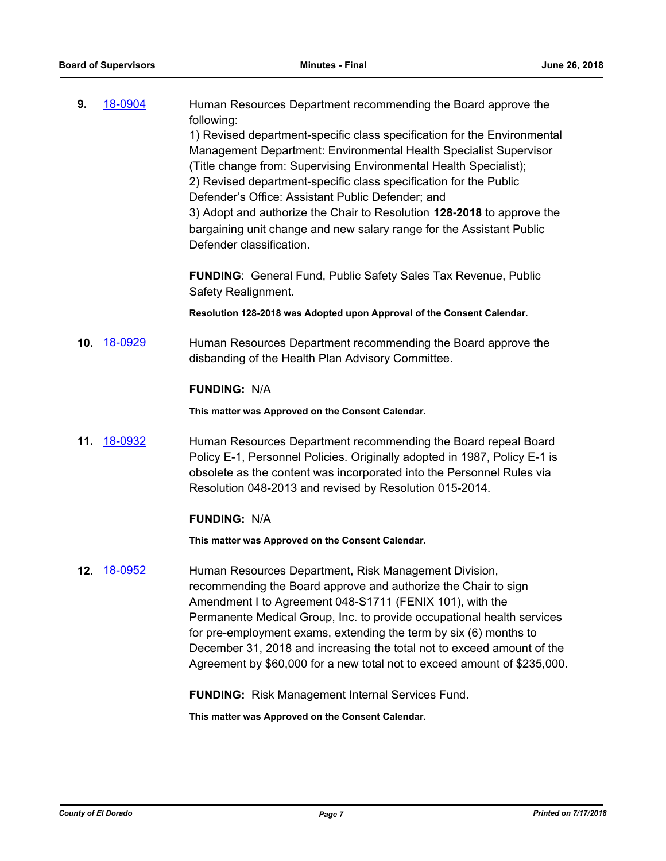| 9. | 18-0904 | Human Resources Department recommending the Board approve the            |
|----|---------|--------------------------------------------------------------------------|
|    |         | following:                                                               |
|    |         | 1) Revised department-specific class specification for the Environmental |
|    |         | Management Department: Environmental Health Specialist Supervisor        |
|    |         | (Title change from: Supervising Environmental Health Specialist);        |
|    |         | 2) Revised department-specific class specification for the Public        |
|    |         | Defender's Office: Assistant Public Defender; and                        |
|    |         | 3) Adopt and authorize the Chair to Resolution 128-2018 to approve the   |
|    |         | bargaining unit change and new salary range for the Assistant Public     |
|    |         | Defender classification.                                                 |
|    |         | <b>FUNDING:</b> General Fund. Public Safety Sales Tax Revenue. Public    |

**FUNDING**: General Fund, Public Safety Sales Tax Revenue, Public Safety Realignment.

**Resolution 128-2018 was Adopted upon Approval of the Consent Calendar.**

**10.** [18-0929](http://eldorado.legistar.com/gateway.aspx?m=l&id=/matter.aspx?key=24277) Human Resources Department recommending the Board approve the disbanding of the Health Plan Advisory Committee.

## **FUNDING:** N/A

**This matter was Approved on the Consent Calendar.**

**11.** [18-0932](http://eldorado.legistar.com/gateway.aspx?m=l&id=/matter.aspx?key=24280) Human Resources Department recommending the Board repeal Board Policy E-1, Personnel Policies. Originally adopted in 1987, Policy E-1 is obsolete as the content was incorporated into the Personnel Rules via Resolution 048-2013 and revised by Resolution 015-2014.

## **FUNDING:** N/A

**This matter was Approved on the Consent Calendar.**

**12.** [18-0952](http://eldorado.legistar.com/gateway.aspx?m=l&id=/matter.aspx?key=24300) Human Resources Department, Risk Management Division, recommending the Board approve and authorize the Chair to sign Amendment I to Agreement 048-S1711 (FENIX 101), with the Permanente Medical Group, Inc. to provide occupational health services for pre-employment exams, extending the term by six (6) months to December 31, 2018 and increasing the total not to exceed amount of the Agreement by \$60,000 for a new total not to exceed amount of \$235,000.

**FUNDING:** Risk Management Internal Services Fund.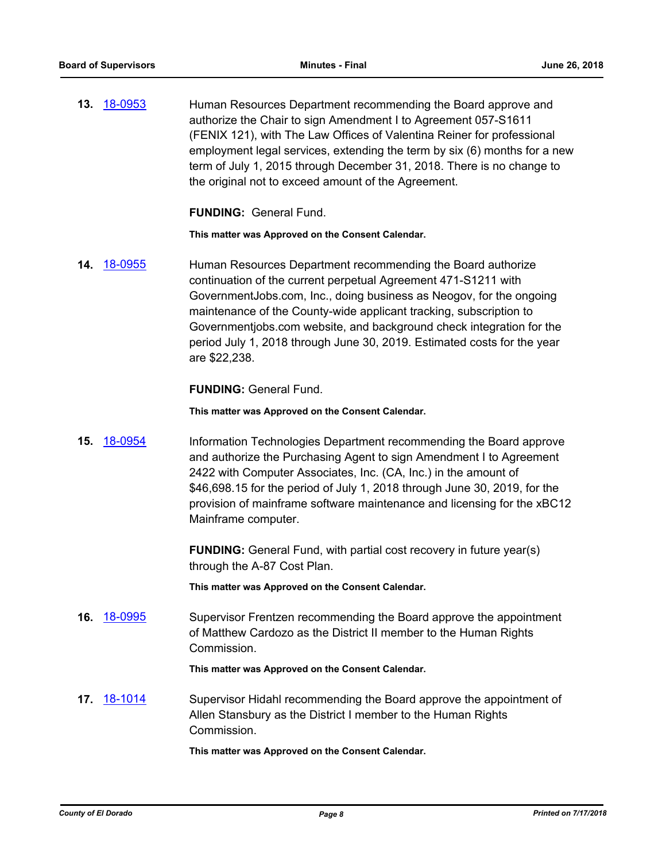**13.** [18-0953](http://eldorado.legistar.com/gateway.aspx?m=l&id=/matter.aspx?key=24301) Human Resources Department recommending the Board approve and authorize the Chair to sign Amendment I to Agreement 057-S1611 (FENIX 121), with The Law Offices of Valentina Reiner for professional employment legal services, extending the term by six (6) months for a new term of July 1, 2015 through December 31, 2018. There is no change to the original not to exceed amount of the Agreement.

**FUNDING:** General Fund.

**This matter was Approved on the Consent Calendar.**

**14.** [18-0955](http://eldorado.legistar.com/gateway.aspx?m=l&id=/matter.aspx?key=24303) Human Resources Department recommending the Board authorize continuation of the current perpetual Agreement 471-S1211 with GovernmentJobs.com, Inc., doing business as Neogov, for the ongoing maintenance of the County-wide applicant tracking, subscription to Governmentjobs.com website, and background check integration for the period July 1, 2018 through June 30, 2019. Estimated costs for the year are \$22,238.

**FUNDING:** General Fund.

**This matter was Approved on the Consent Calendar.**

**15.** [18-0954](http://eldorado.legistar.com/gateway.aspx?m=l&id=/matter.aspx?key=24302) Information Technologies Department recommending the Board approve and authorize the Purchasing Agent to sign Amendment I to Agreement 2422 with Computer Associates, Inc. (CA, Inc.) in the amount of \$46,698.15 for the period of July 1, 2018 through June 30, 2019, for the provision of mainframe software maintenance and licensing for the xBC12 Mainframe computer.

> **FUNDING:** General Fund, with partial cost recovery in future year(s) through the A-87 Cost Plan.

**This matter was Approved on the Consent Calendar.**

**16.** [18-0995](http://eldorado.legistar.com/gateway.aspx?m=l&id=/matter.aspx?key=24344) Supervisor Frentzen recommending the Board approve the appointment of Matthew Cardozo as the District II member to the Human Rights Commission.

**This matter was Approved on the Consent Calendar.**

**17.** [18-1014](http://eldorado.legistar.com/gateway.aspx?m=l&id=/matter.aspx?key=24363) Supervisor Hidahl recommending the Board approve the appointment of Allen Stansbury as the District I member to the Human Rights Commission.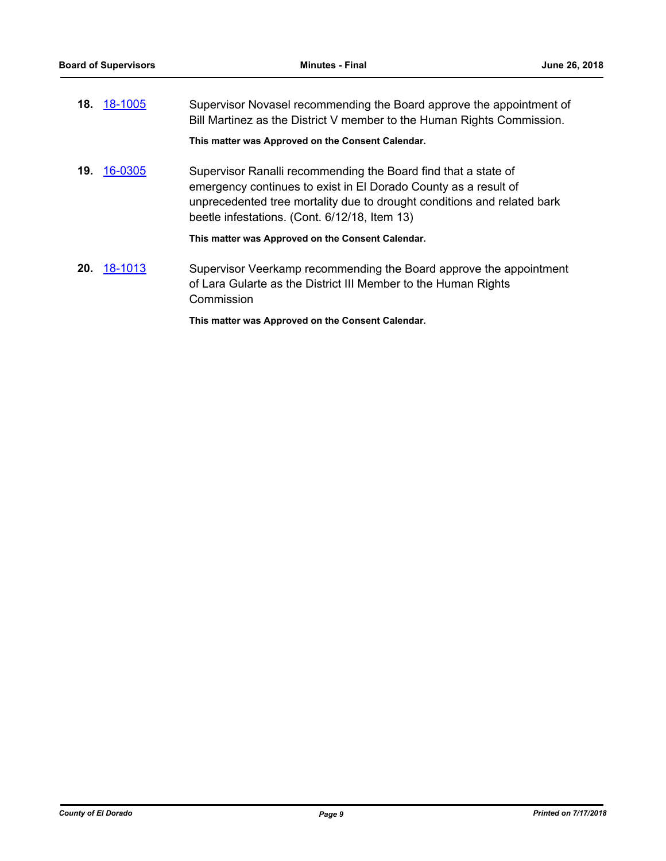|     | 18. 18-1005 | Supervisor Novasel recommending the Board approve the appointment of<br>Bill Martinez as the District V member to the Human Rights Commission.                                                                                                                |
|-----|-------------|---------------------------------------------------------------------------------------------------------------------------------------------------------------------------------------------------------------------------------------------------------------|
|     |             | This matter was Approved on the Consent Calendar.                                                                                                                                                                                                             |
| 19. | 16-0305     | Supervisor Ranalli recommending the Board find that a state of<br>emergency continues to exist in El Dorado County as a result of<br>unprecedented tree mortality due to drought conditions and related bark<br>beetle infestations. (Cont. 6/12/18, Item 13) |
|     |             | This matter was Approved on the Consent Calendar.                                                                                                                                                                                                             |
| 20. | 18-1013     | Supervisor Veerkamp recommending the Board approve the appointment<br>of Lara Gularte as the District III Member to the Human Rights<br>Commission                                                                                                            |
|     |             | This matter was Approved on the Consent Calendar.                                                                                                                                                                                                             |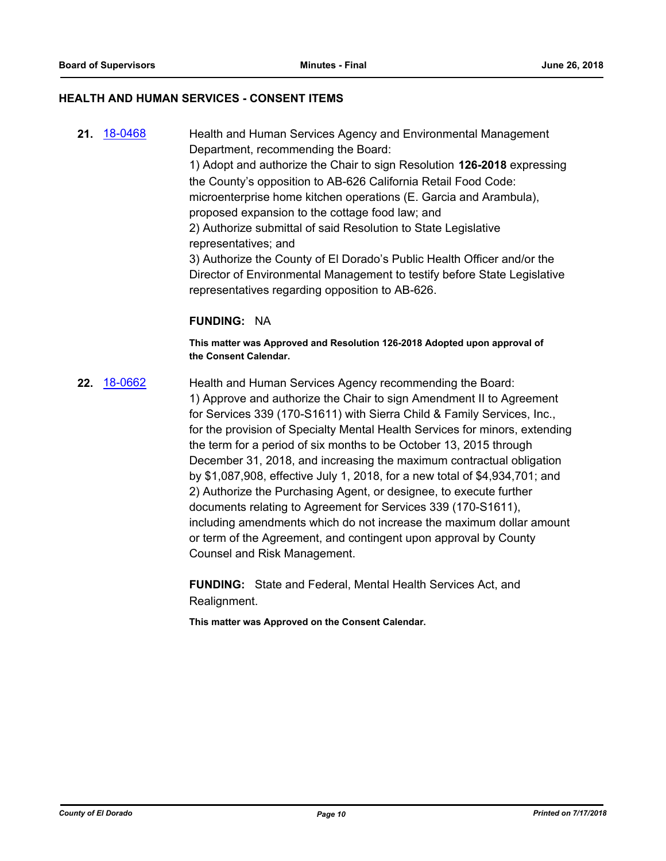#### **HEALTH AND HUMAN SERVICES - CONSENT ITEMS**

**21.** [18-0468](http://eldorado.legistar.com/gateway.aspx?m=l&id=/matter.aspx?key=23813) Health and Human Services Agency and Environmental Management Department, recommending the Board: 1) Adopt and authorize the Chair to sign Resolution **126-2018** expressing the County's opposition to AB-626 California Retail Food Code: microenterprise home kitchen operations (E. Garcia and Arambula), proposed expansion to the cottage food law; and 2) Authorize submittal of said Resolution to State Legislative representatives; and 3) Authorize the County of El Dorado's Public Health Officer and/or the Director of Environmental Management to testify before State Legislative representatives regarding opposition to AB-626.

#### **FUNDING:** NA

**This matter was Approved and Resolution 126-2018 Adopted upon approval of the Consent Calendar.**

**22.** [18-0662](http://eldorado.legistar.com/gateway.aspx?m=l&id=/matter.aspx?key=24007) Health and Human Services Agency recommending the Board: 1) Approve and authorize the Chair to sign Amendment II to Agreement for Services 339 (170-S1611) with Sierra Child & Family Services, Inc., for the provision of Specialty Mental Health Services for minors, extending the term for a period of six months to be October 13, 2015 through December 31, 2018, and increasing the maximum contractual obligation by \$1,087,908, effective July 1, 2018, for a new total of \$4,934,701; and 2) Authorize the Purchasing Agent, or designee, to execute further documents relating to Agreement for Services 339 (170-S1611), including amendments which do not increase the maximum dollar amount or term of the Agreement, and contingent upon approval by County Counsel and Risk Management.

> **FUNDING:** State and Federal, Mental Health Services Act, and Realignment.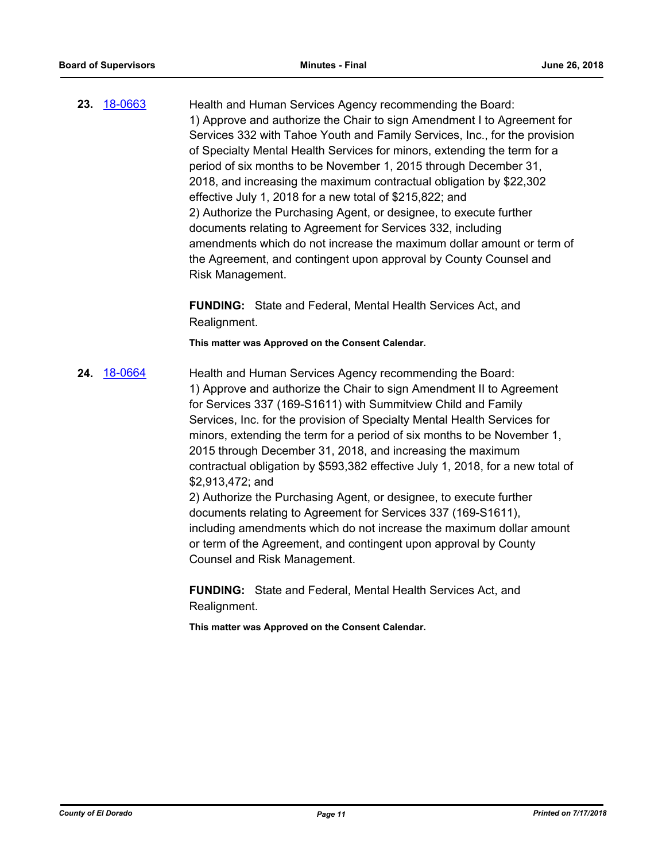**23.** [18-0663](http://eldorado.legistar.com/gateway.aspx?m=l&id=/matter.aspx?key=24008) Health and Human Services Agency recommending the Board: 1) Approve and authorize the Chair to sign Amendment I to Agreement for Services 332 with Tahoe Youth and Family Services, Inc., for the provision of Specialty Mental Health Services for minors, extending the term for a period of six months to be November 1, 2015 through December 31, 2018, and increasing the maximum contractual obligation by \$22,302 effective July 1, 2018 for a new total of \$215,822; and 2) Authorize the Purchasing Agent, or designee, to execute further documents relating to Agreement for Services 332, including amendments which do not increase the maximum dollar amount or term of the Agreement, and contingent upon approval by County Counsel and Risk Management.

> **FUNDING:** State and Federal, Mental Health Services Act, and Realignment.

**This matter was Approved on the Consent Calendar.**

**24.** [18-0664](http://eldorado.legistar.com/gateway.aspx?m=l&id=/matter.aspx?key=24009) Health and Human Services Agency recommending the Board: 1) Approve and authorize the Chair to sign Amendment II to Agreement for Services 337 (169-S1611) with Summitview Child and Family Services, Inc. for the provision of Specialty Mental Health Services for minors, extending the term for a period of six months to be November 1, 2015 through December 31, 2018, and increasing the maximum contractual obligation by \$593,382 effective July 1, 2018, for a new total of \$2,913,472; and 2) Authorize the Purchasing Agent, or designee, to execute further documents relating to Agreement for Services 337 (169-S1611), including amendments which do not increase the maximum dollar amount or term of the Agreement, and contingent upon approval by County Counsel and Risk Management.

> **FUNDING:** State and Federal, Mental Health Services Act, and Realignment.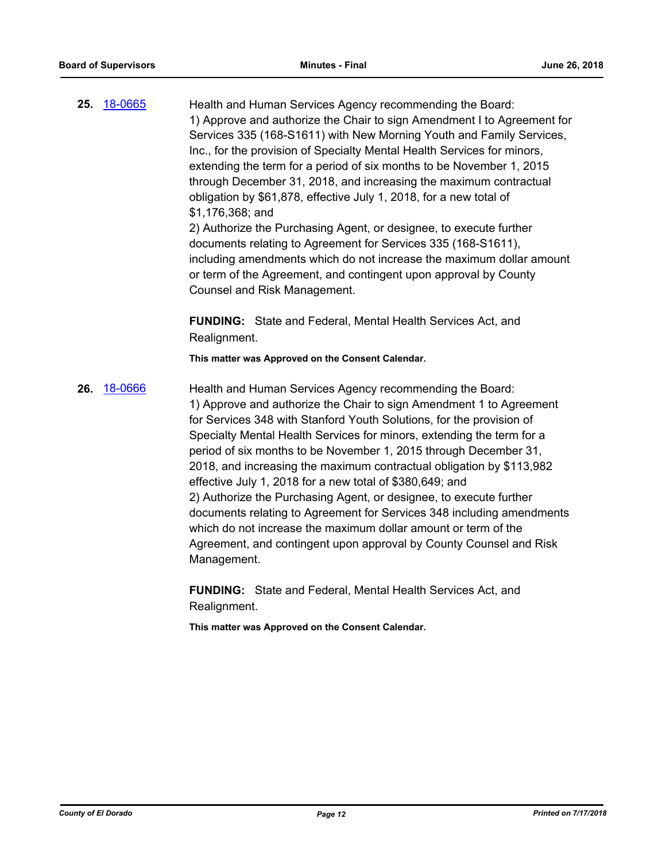**25.** [18-0665](http://eldorado.legistar.com/gateway.aspx?m=l&id=/matter.aspx?key=24010) Health and Human Services Agency recommending the Board: 1) Approve and authorize the Chair to sign Amendment I to Agreement for Services 335 (168-S1611) with New Morning Youth and Family Services, Inc., for the provision of Specialty Mental Health Services for minors, extending the term for a period of six months to be November 1, 2015 through December 31, 2018, and increasing the maximum contractual obligation by \$61,878, effective July 1, 2018, for a new total of \$1,176,368; and 2) Authorize the Purchasing Agent, or designee, to execute further documents relating to Agreement for Services 335 (168-S1611),

including amendments which do not increase the maximum dollar amount or term of the Agreement, and contingent upon approval by County Counsel and Risk Management.

**FUNDING:** State and Federal, Mental Health Services Act, and Realignment.

**This matter was Approved on the Consent Calendar.**

26. [18-0666](http://eldorado.legistar.com/gateway.aspx?m=l&id=/matter.aspx?key=24011) **Health and Human Services Agency recommending the Board:** 1) Approve and authorize the Chair to sign Amendment 1 to Agreement for Services 348 with Stanford Youth Solutions, for the provision of Specialty Mental Health Services for minors, extending the term for a period of six months to be November 1, 2015 through December 31, 2018, and increasing the maximum contractual obligation by \$113,982 effective July 1, 2018 for a new total of \$380,649; and 2) Authorize the Purchasing Agent, or designee, to execute further documents relating to Agreement for Services 348 including amendments which do not increase the maximum dollar amount or term of the Agreement, and contingent upon approval by County Counsel and Risk Management.

> **FUNDING:** State and Federal, Mental Health Services Act, and Realignment.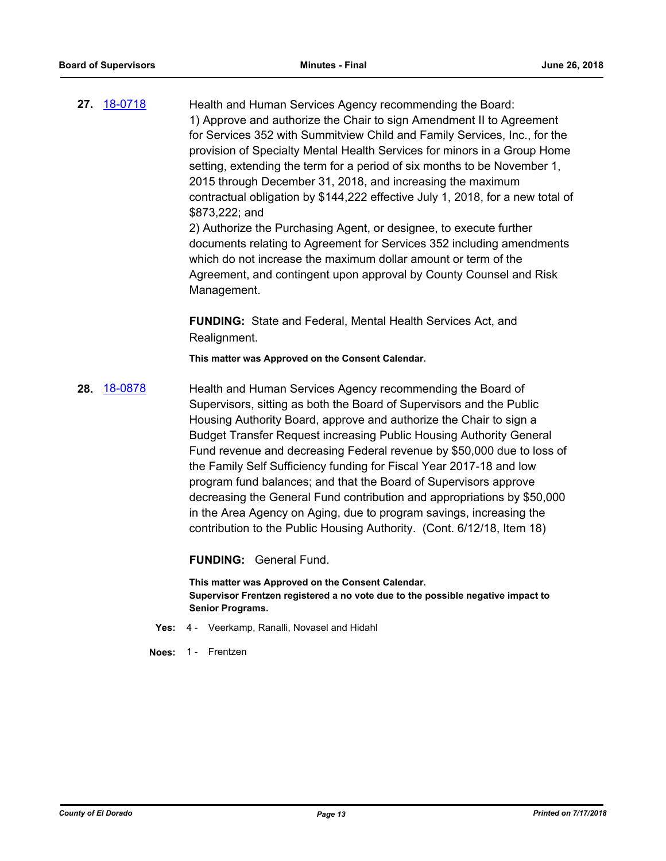**27.** [18-0718](http://eldorado.legistar.com/gateway.aspx?m=l&id=/matter.aspx?key=24064) Health and Human Services Agency recommending the Board: 1) Approve and authorize the Chair to sign Amendment II to Agreement for Services 352 with Summitview Child and Family Services, Inc., for the provision of Specialty Mental Health Services for minors in a Group Home setting, extending the term for a period of six months to be November 1, 2015 through December 31, 2018, and increasing the maximum contractual obligation by \$144,222 effective July 1, 2018, for a new total of \$873,222; and

2) Authorize the Purchasing Agent, or designee, to execute further documents relating to Agreement for Services 352 including amendments which do not increase the maximum dollar amount or term of the Agreement, and contingent upon approval by County Counsel and Risk Management.

**FUNDING:** State and Federal, Mental Health Services Act, and Realignment.

**This matter was Approved on the Consent Calendar.**

**28.** [18-0878](http://eldorado.legistar.com/gateway.aspx?m=l&id=/matter.aspx?key=24225) Health and Human Services Agency recommending the Board of Supervisors, sitting as both the Board of Supervisors and the Public Housing Authority Board, approve and authorize the Chair to sign a Budget Transfer Request increasing Public Housing Authority General Fund revenue and decreasing Federal revenue by \$50,000 due to loss of the Family Self Sufficiency funding for Fiscal Year 2017-18 and low program fund balances; and that the Board of Supervisors approve decreasing the General Fund contribution and appropriations by \$50,000 in the Area Agency on Aging, due to program savings, increasing the contribution to the Public Housing Authority. (Cont. 6/12/18, Item 18)

**FUNDING:** General Fund.

**This matter was Approved on the Consent Calendar. Supervisor Frentzen registered a no vote due to the possible negative impact to Senior Programs.**

- **Yes:** 4 Veerkamp, Ranalli, Novasel and Hidahl
- **Noes:** 1 Frentzen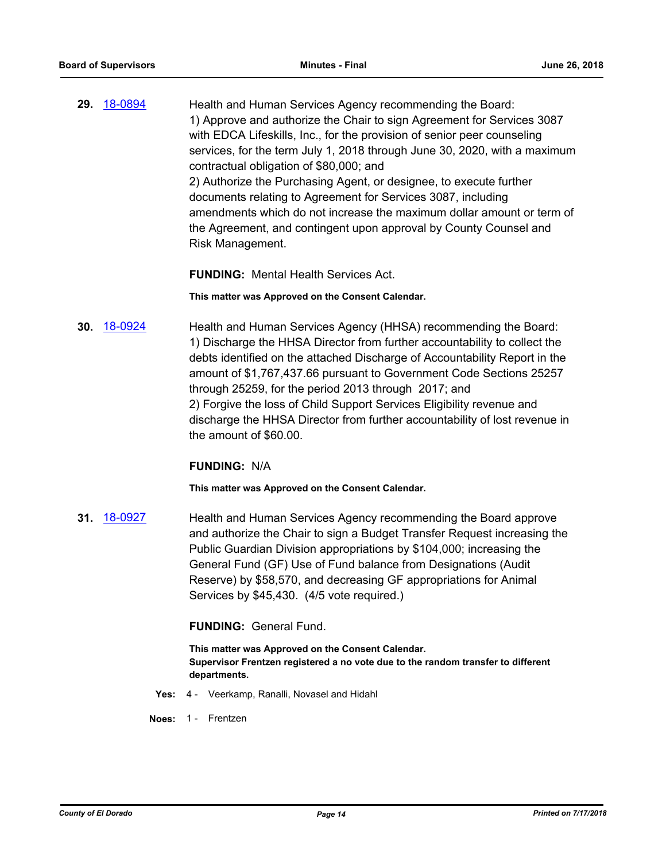**29.** [18-0894](http://eldorado.legistar.com/gateway.aspx?m=l&id=/matter.aspx?key=24241) Health and Human Services Agency recommending the Board: 1) Approve and authorize the Chair to sign Agreement for Services 3087 with EDCA Lifeskills, Inc., for the provision of senior peer counseling services, for the term July 1, 2018 through June 30, 2020, with a maximum contractual obligation of \$80,000; and 2) Authorize the Purchasing Agent, or designee, to execute further documents relating to Agreement for Services 3087, including amendments which do not increase the maximum dollar amount or term of the Agreement, and contingent upon approval by County Counsel and Risk Management.

**FUNDING:** Mental Health Services Act.

**This matter was Approved on the Consent Calendar.**

**30.** [18-0924](http://eldorado.legistar.com/gateway.aspx?m=l&id=/matter.aspx?key=24272) Health and Human Services Agency (HHSA) recommending the Board: 1) Discharge the HHSA Director from further accountability to collect the debts identified on the attached Discharge of Accountability Report in the amount of \$1,767,437.66 pursuant to Government Code Sections 25257 through 25259, for the period 2013 through 2017; and 2) Forgive the loss of Child Support Services Eligibility revenue and discharge the HHSA Director from further accountability of lost revenue in the amount of \$60.00.

#### **FUNDING:** N/A

**This matter was Approved on the Consent Calendar.**

**31.** [18-0927](http://eldorado.legistar.com/gateway.aspx?m=l&id=/matter.aspx?key=24275) Health and Human Services Agency recommending the Board approve and authorize the Chair to sign a Budget Transfer Request increasing the Public Guardian Division appropriations by \$104,000; increasing the General Fund (GF) Use of Fund balance from Designations (Audit Reserve) by \$58,570, and decreasing GF appropriations for Animal Services by \$45,430. (4/5 vote required.)

**FUNDING:** General Fund.

**This matter was Approved on the Consent Calendar. Supervisor Frentzen registered a no vote due to the random transfer to different departments.**

- **Yes:** 4 Veerkamp, Ranalli, Novasel and Hidahl
- **Noes:** 1 Frentzen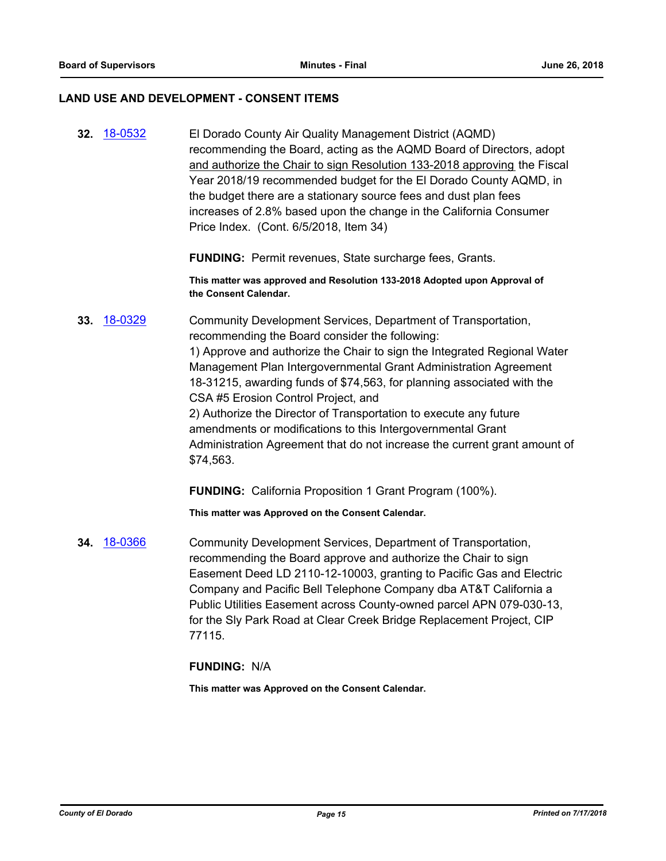#### **LAND USE AND DEVELOPMENT - CONSENT ITEMS**

**32.** [18-0532](http://eldorado.legistar.com/gateway.aspx?m=l&id=/matter.aspx?key=23877) El Dorado County Air Quality Management District (AQMD) recommending the Board, acting as the AQMD Board of Directors, adopt and authorize the Chair to sign Resolution 133-2018 approving the Fiscal Year 2018/19 recommended budget for the El Dorado County AQMD, in the budget there are a stationary source fees and dust plan fees increases of 2.8% based upon the change in the California Consumer Price Index. (Cont. 6/5/2018, Item 34)

**FUNDING:** Permit revenues, State surcharge fees, Grants.

**This matter was approved and Resolution 133-2018 Adopted upon Approval of the Consent Calendar.**

**33.** [18-0329](http://eldorado.legistar.com/gateway.aspx?m=l&id=/matter.aspx?key=23672) Community Development Services, Department of Transportation, recommending the Board consider the following: 1) Approve and authorize the Chair to sign the Integrated Regional Water Management Plan Intergovernmental Grant Administration Agreement 18-31215, awarding funds of \$74,563, for planning associated with the CSA #5 Erosion Control Project, and 2) Authorize the Director of Transportation to execute any future amendments or modifications to this Intergovernmental Grant Administration Agreement that do not increase the current grant amount of \$74,563.

**FUNDING:** California Proposition 1 Grant Program (100%).

**This matter was Approved on the Consent Calendar.**

**34.** [18-0366](http://eldorado.legistar.com/gateway.aspx?m=l&id=/matter.aspx?key=23709) Community Development Services, Department of Transportation, recommending the Board approve and authorize the Chair to sign Easement Deed LD 2110-12-10003, granting to Pacific Gas and Electric Company and Pacific Bell Telephone Company dba AT&T California a Public Utilities Easement across County-owned parcel APN 079-030-13, for the Sly Park Road at Clear Creek Bridge Replacement Project, CIP 77115.

**FUNDING:** N/A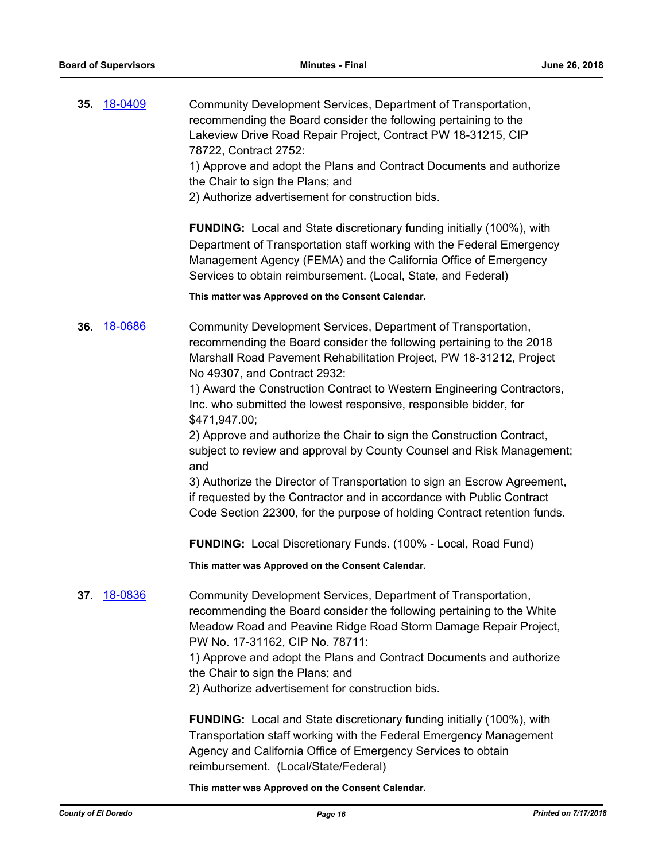| 35. | 18-0409 | Community Development Services, Department of Transportation,<br>recommending the Board consider the following pertaining to the<br>Lakeview Drive Road Repair Project, Contract PW 18-31215, CIP<br>78722, Contract 2752:<br>1) Approve and adopt the Plans and Contract Documents and authorize<br>the Chair to sign the Plans; and<br>2) Authorize advertisement for construction bids.<br><b>FUNDING:</b> Local and State discretionary funding initially (100%), with<br>Department of Transportation staff working with the Federal Emergency<br>Management Agency (FEMA) and the California Office of Emergency                                                                                                                                                                                 |
|-----|---------|--------------------------------------------------------------------------------------------------------------------------------------------------------------------------------------------------------------------------------------------------------------------------------------------------------------------------------------------------------------------------------------------------------------------------------------------------------------------------------------------------------------------------------------------------------------------------------------------------------------------------------------------------------------------------------------------------------------------------------------------------------------------------------------------------------|
|     |         | Services to obtain reimbursement. (Local, State, and Federal)                                                                                                                                                                                                                                                                                                                                                                                                                                                                                                                                                                                                                                                                                                                                          |
|     |         | This matter was Approved on the Consent Calendar.                                                                                                                                                                                                                                                                                                                                                                                                                                                                                                                                                                                                                                                                                                                                                      |
| 36. | 18-0686 | Community Development Services, Department of Transportation,<br>recommending the Board consider the following pertaining to the 2018<br>Marshall Road Pavement Rehabilitation Project, PW 18-31212, Project<br>No 49307, and Contract 2932:<br>1) Award the Construction Contract to Western Engineering Contractors,<br>Inc. who submitted the lowest responsive, responsible bidder, for<br>\$471,947.00;<br>2) Approve and authorize the Chair to sign the Construction Contract,<br>subject to review and approval by County Counsel and Risk Management;<br>and<br>3) Authorize the Director of Transportation to sign an Escrow Agreement,<br>if requested by the Contractor and in accordance with Public Contract<br>Code Section 22300, for the purpose of holding Contract retention funds. |
|     |         | <b>FUNDING:</b> Local Discretionary Funds. (100% - Local, Road Fund)                                                                                                                                                                                                                                                                                                                                                                                                                                                                                                                                                                                                                                                                                                                                   |
|     |         | This matter was Approved on the Consent Calendar.                                                                                                                                                                                                                                                                                                                                                                                                                                                                                                                                                                                                                                                                                                                                                      |
| 37. | 18-0836 | Community Development Services, Department of Transportation,<br>recommending the Board consider the following pertaining to the White<br>Meadow Road and Peavine Ridge Road Storm Damage Repair Project,<br>PW No. 17-31162, CIP No. 78711:<br>1) Approve and adopt the Plans and Contract Documents and authorize<br>the Chair to sign the Plans; and<br>2) Authorize advertisement for construction bids.                                                                                                                                                                                                                                                                                                                                                                                           |
|     |         | <b>FUNDING:</b> Local and State discretionary funding initially (100%), with<br>Transportation staff working with the Federal Emergency Management<br>Agency and California Office of Emergency Services to obtain<br>reimbursement. (Local/State/Federal)                                                                                                                                                                                                                                                                                                                                                                                                                                                                                                                                             |
|     |         | This matter was Approved on the Consent Calendar.                                                                                                                                                                                                                                                                                                                                                                                                                                                                                                                                                                                                                                                                                                                                                      |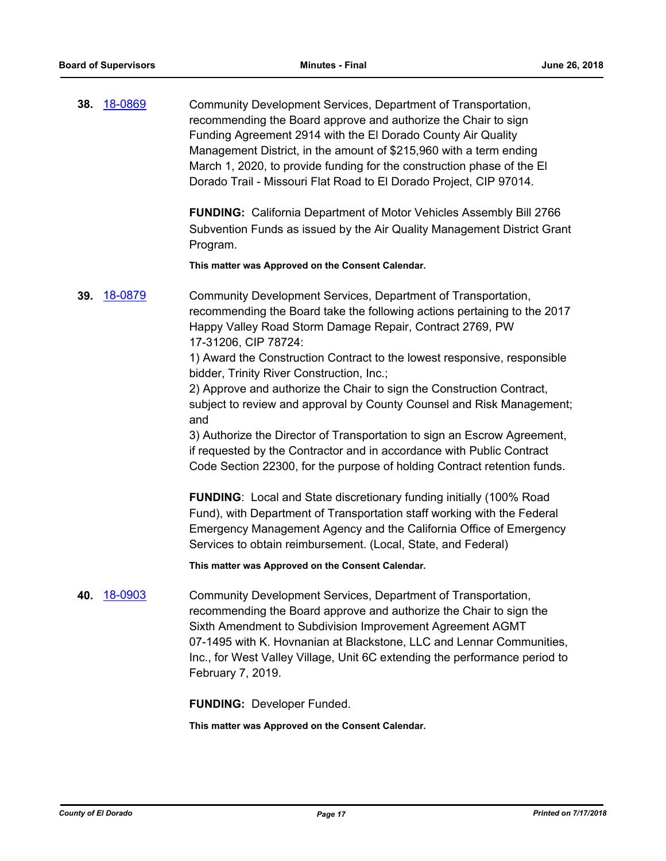**38.** [18-0869](http://eldorado.legistar.com/gateway.aspx?m=l&id=/matter.aspx?key=24216) Community Development Services, Department of Transportation, recommending the Board approve and authorize the Chair to sign Funding Agreement 2914 with the El Dorado County Air Quality Management District, in the amount of \$215,960 with a term ending March 1, 2020, to provide funding for the construction phase of the El Dorado Trail - Missouri Flat Road to El Dorado Project, CIP 97014.

> **FUNDING:** California Department of Motor Vehicles Assembly Bill 2766 Subvention Funds as issued by the Air Quality Management District Grant Program.

**This matter was Approved on the Consent Calendar.**

**39.** [18-0879](http://eldorado.legistar.com/gateway.aspx?m=l&id=/matter.aspx?key=24226) Community Development Services, Department of Transportation, recommending the Board take the following actions pertaining to the 2017 Happy Valley Road Storm Damage Repair, Contract 2769, PW 17-31206, CIP 78724:

> 1) Award the Construction Contract to the lowest responsive, responsible bidder, Trinity River Construction, Inc.;

2) Approve and authorize the Chair to sign the Construction Contract, subject to review and approval by County Counsel and Risk Management; and

3) Authorize the Director of Transportation to sign an Escrow Agreement, if requested by the Contractor and in accordance with Public Contract Code Section 22300, for the purpose of holding Contract retention funds.

**FUNDING:** Local and State discretionary funding initially (100% Road Fund), with Department of Transportation staff working with the Federal Emergency Management Agency and the California Office of Emergency Services to obtain reimbursement. (Local, State, and Federal)

**This matter was Approved on the Consent Calendar.**

**40.** [18-0903](http://eldorado.legistar.com/gateway.aspx?m=l&id=/matter.aspx?key=24251) Community Development Services, Department of Transportation, recommending the Board approve and authorize the Chair to sign the Sixth Amendment to Subdivision Improvement Agreement AGMT 07-1495 with K. Hovnanian at Blackstone, LLC and Lennar Communities, Inc., for West Valley Village, Unit 6C extending the performance period to February 7, 2019.

**FUNDING:** Developer Funded.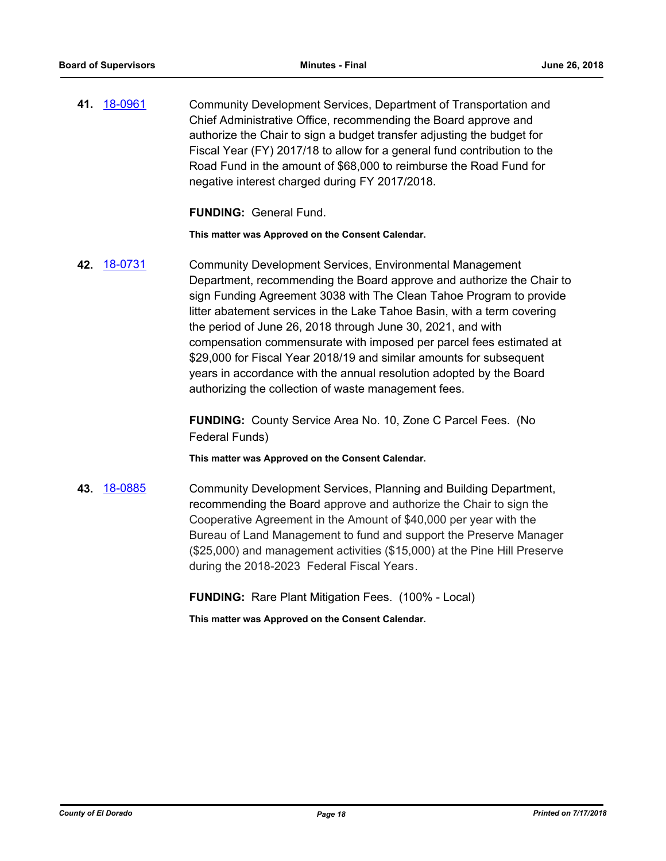**41.** [18-0961](http://eldorado.legistar.com/gateway.aspx?m=l&id=/matter.aspx?key=24309) Community Development Services, Department of Transportation and Chief Administrative Office, recommending the Board approve and authorize the Chair to sign a budget transfer adjusting the budget for Fiscal Year (FY) 2017/18 to allow for a general fund contribution to the Road Fund in the amount of \$68,000 to reimburse the Road Fund for negative interest charged during FY 2017/2018.

**FUNDING:** General Fund.

**This matter was Approved on the Consent Calendar.**

**42.** [18-0731](http://eldorado.legistar.com/gateway.aspx?m=l&id=/matter.aspx?key=24078) Community Development Services, Environmental Management Department, recommending the Board approve and authorize the Chair to sign Funding Agreement 3038 with The Clean Tahoe Program to provide litter abatement services in the Lake Tahoe Basin, with a term covering the period of June 26, 2018 through June 30, 2021, and with compensation commensurate with imposed per parcel fees estimated at \$29,000 for Fiscal Year 2018/19 and similar amounts for subsequent years in accordance with the annual resolution adopted by the Board authorizing the collection of waste management fees.

> **FUNDING:** County Service Area No. 10, Zone C Parcel Fees. (No Federal Funds)

**This matter was Approved on the Consent Calendar.**

**43.** [18-0885](http://eldorado.legistar.com/gateway.aspx?m=l&id=/matter.aspx?key=24232) Community Development Services, Planning and Building Department, recommending the Board approve and authorize the Chair to sign the Cooperative Agreement in the Amount of \$40,000 per year with the Bureau of Land Management to fund and support the Preserve Manager (\$25,000) and management activities (\$15,000) at the Pine Hill Preserve during the 2018-2023 Federal Fiscal Years.

**FUNDING:** Rare Plant Mitigation Fees. (100% - Local)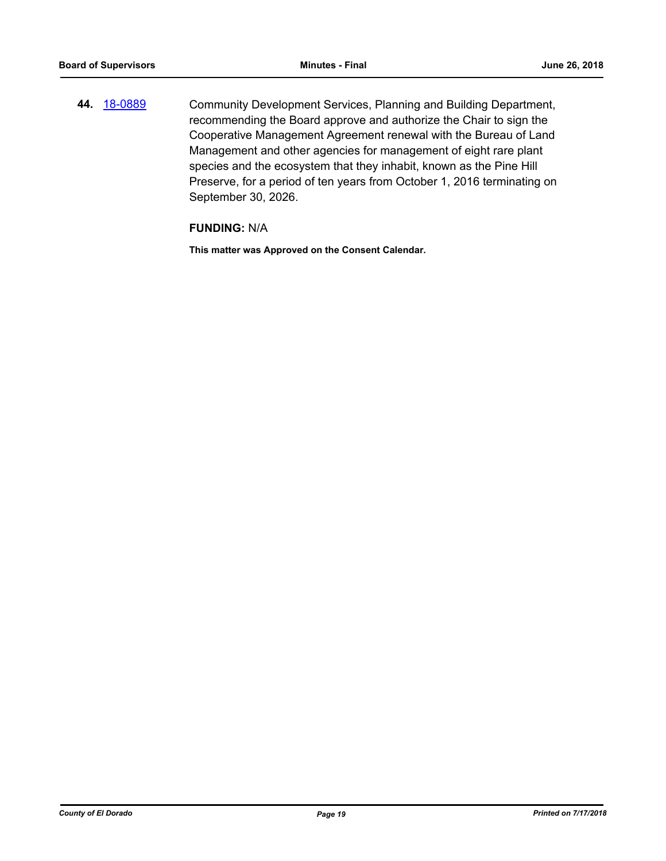**44.** [18-0889](http://eldorado.legistar.com/gateway.aspx?m=l&id=/matter.aspx?key=24236) Community Development Services, Planning and Building Department, recommending the Board approve and authorize the Chair to sign the Cooperative Management Agreement renewal with the Bureau of Land Management and other agencies for management of eight rare plant species and the ecosystem that they inhabit, known as the Pine Hill Preserve, for a period of ten years from October 1, 2016 terminating on September 30, 2026.

## **FUNDING:** N/A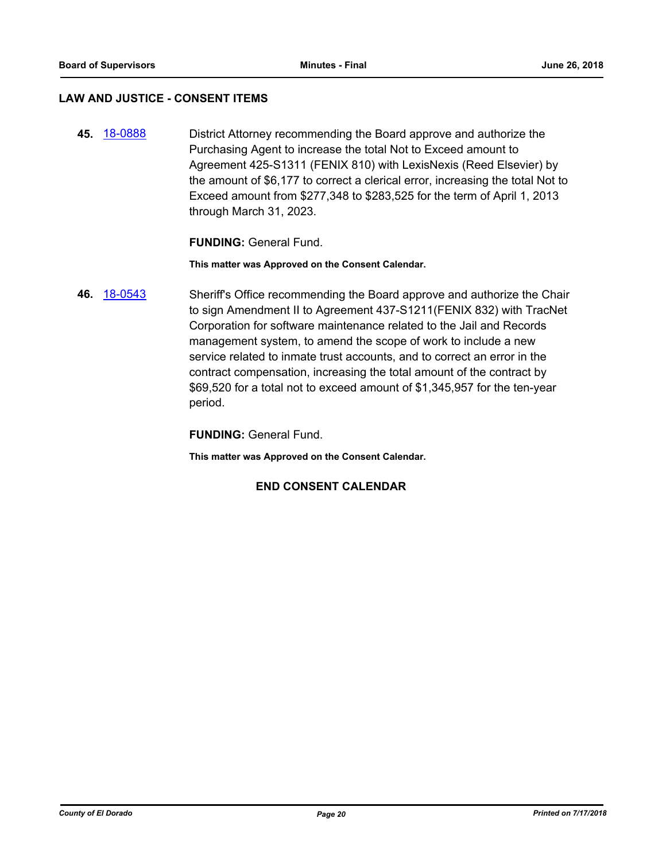### **LAW AND JUSTICE - CONSENT ITEMS**

**45.** [18-0888](http://eldorado.legistar.com/gateway.aspx?m=l&id=/matter.aspx?key=24235) District Attorney recommending the Board approve and authorize the Purchasing Agent to increase the total Not to Exceed amount to Agreement 425-S1311 (FENIX 810) with LexisNexis (Reed Elsevier) by the amount of \$6,177 to correct a clerical error, increasing the total Not to Exceed amount from \$277,348 to \$283,525 for the term of April 1, 2013 through March 31, 2023.

### **FUNDING:** General Fund.

**This matter was Approved on the Consent Calendar.**

**46.** [18-0543](http://eldorado.legistar.com/gateway.aspx?m=l&id=/matter.aspx?key=23888) Sheriff's Office recommending the Board approve and authorize the Chair to sign Amendment II to Agreement 437-S1211(FENIX 832) with TracNet Corporation for software maintenance related to the Jail and Records management system, to amend the scope of work to include a new service related to inmate trust accounts, and to correct an error in the contract compensation, increasing the total amount of the contract by \$69,520 for a total not to exceed amount of \$1,345,957 for the ten-year period.

**FUNDING:** General Fund.

**This matter was Approved on the Consent Calendar.**

## **END CONSENT CALENDAR**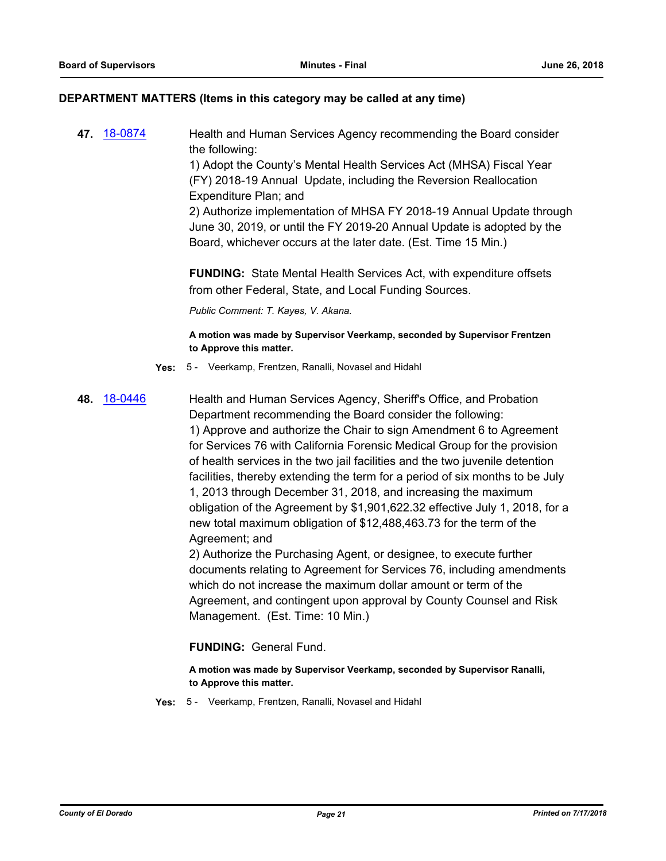#### **DEPARTMENT MATTERS (Items in this category may be called at any time)**

**47.** [18-0874](http://eldorado.legistar.com/gateway.aspx?m=l&id=/matter.aspx?key=24221) Health and Human Services Agency recommending the Board consider the following: 1) Adopt the County's Mental Health Services Act (MHSA) Fiscal Year (FY) 2018-19 Annual Update, including the Reversion Reallocation Expenditure Plan; and 2) Authorize implementation of MHSA FY 2018-19 Annual Update through June 30, 2019, or until the FY 2019-20 Annual Update is adopted by the Board, whichever occurs at the later date. (Est. Time 15 Min.)

> **FUNDING:** State Mental Health Services Act, with expenditure offsets from other Federal, State, and Local Funding Sources.

*Public Comment: T. Kayes, V. Akana.*

**A motion was made by Supervisor Veerkamp, seconded by Supervisor Frentzen to Approve this matter.**

- **Yes:** 5 Veerkamp, Frentzen, Ranalli, Novasel and Hidahl
- **48.** [18-0446](http://eldorado.legistar.com/gateway.aspx?m=l&id=/matter.aspx?key=23791) Health and Human Services Agency, Sheriff's Office, and Probation Department recommending the Board consider the following: 1) Approve and authorize the Chair to sign Amendment 6 to Agreement for Services 76 with California Forensic Medical Group for the provision of health services in the two jail facilities and the two juvenile detention facilities, thereby extending the term for a period of six months to be July 1, 2013 through December 31, 2018, and increasing the maximum obligation of the Agreement by \$1,901,622.32 effective July 1, 2018, for a new total maximum obligation of \$12,488,463.73 for the term of the

Agreement; and 2) Authorize the Purchasing Agent, or designee, to execute further documents relating to Agreement for Services 76, including amendments which do not increase the maximum dollar amount or term of the Agreement, and contingent upon approval by County Counsel and Risk Management. (Est. Time: 10 Min.)

**FUNDING:** General Fund.

**A motion was made by Supervisor Veerkamp, seconded by Supervisor Ranalli, to Approve this matter.**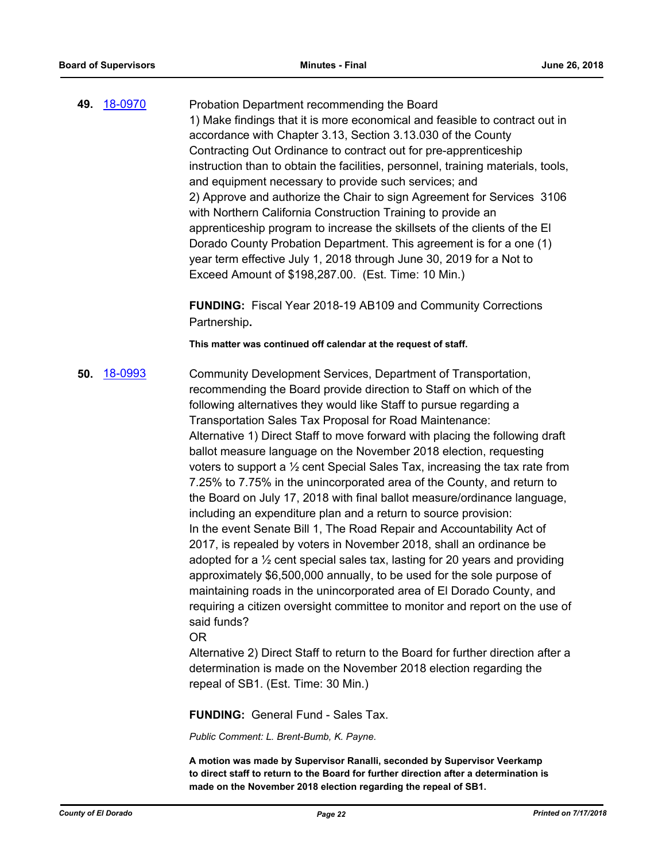**49.** [18-0970](http://eldorado.legistar.com/gateway.aspx?m=l&id=/matter.aspx?key=24318) Probation Department recommending the Board 1) Make findings that it is more economical and feasible to contract out in accordance with Chapter 3.13, Section 3.13.030 of the County Contracting Out Ordinance to contract out for pre-apprenticeship instruction than to obtain the facilities, personnel, training materials, tools, and equipment necessary to provide such services; and 2) Approve and authorize the Chair to sign Agreement for Services 3106 with Northern California Construction Training to provide an apprenticeship program to increase the skillsets of the clients of the El Dorado County Probation Department. This agreement is for a one (1) year term effective July 1, 2018 through June 30, 2019 for a Not to Exceed Amount of \$198,287.00. (Est. Time: 10 Min.)

> **FUNDING:** Fiscal Year 2018-19 AB109 and Community Corrections Partnership**.**

**This matter was continued off calendar at the request of staff.**

**50.** [18-0993](http://eldorado.legistar.com/gateway.aspx?m=l&id=/matter.aspx?key=24342) Community Development Services, Department of Transportation, recommending the Board provide direction to Staff on which of the following alternatives they would like Staff to pursue regarding a Transportation Sales Tax Proposal for Road Maintenance: Alternative 1) Direct Staff to move forward with placing the following draft ballot measure language on the November 2018 election, requesting voters to support a  $\frac{1}{2}$  cent Special Sales Tax, increasing the tax rate from 7.25% to 7.75% in the unincorporated area of the County, and return to the Board on July 17, 2018 with final ballot measure/ordinance language, including an expenditure plan and a return to source provision: In the event Senate Bill 1, The Road Repair and Accountability Act of 2017, is repealed by voters in November 2018, shall an ordinance be adopted for a ½ cent special sales tax, lasting for 20 years and providing approximately \$6,500,000 annually, to be used for the sole purpose of maintaining roads in the unincorporated area of El Dorado County, and requiring a citizen oversight committee to monitor and report on the use of said funds?

#### OR

Alternative 2) Direct Staff to return to the Board for further direction after a determination is made on the November 2018 election regarding the repeal of SB1. (Est. Time: 30 Min.)

**FUNDING:** General Fund - Sales Tax.

*Public Comment: L. Brent-Bumb, K. Payne.*

**A motion was made by Supervisor Ranalli, seconded by Supervisor Veerkamp to direct staff to return to the Board for further direction after a determination is made on the November 2018 election regarding the repeal of SB1.**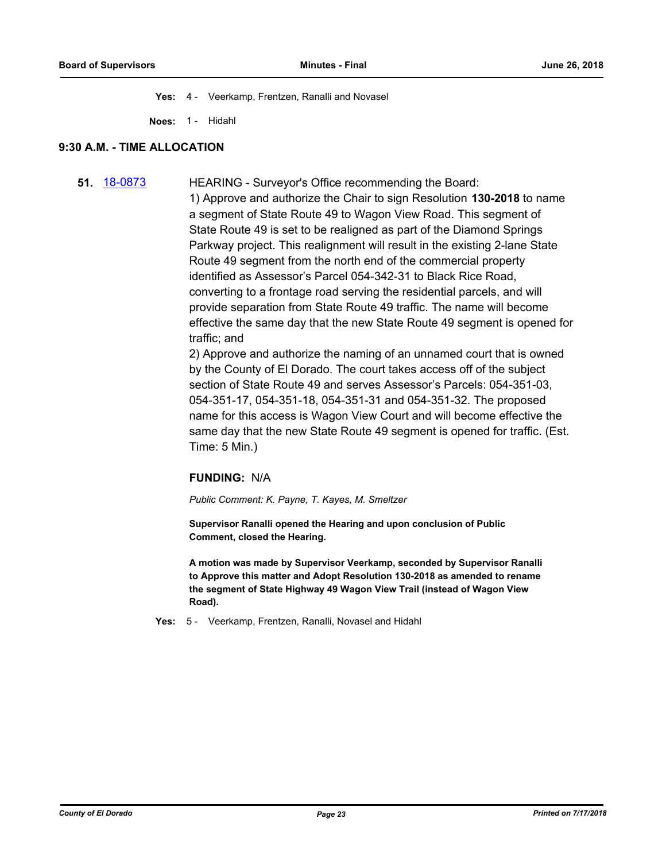**Yes:** 4 - Veerkamp, Frentzen, Ranalli and Novasel

**Noes:** 1 - Hidahl

#### **9:30 A.M. - TIME ALLOCATION**

**51.** [18-0873](http://eldorado.legistar.com/gateway.aspx?m=l&id=/matter.aspx?key=24220) HEARING - Surveyor's Office recommending the Board: 1) Approve and authorize the Chair to sign Resolution **130-2018** to name a segment of State Route 49 to Wagon View Road. This segment of State Route 49 is set to be realigned as part of the Diamond Springs Parkway project. This realignment will result in the existing 2-lane State Route 49 segment from the north end of the commercial property identified as Assessor's Parcel 054-342-31 to Black Rice Road, converting to a frontage road serving the residential parcels, and will provide separation from State Route 49 traffic. The name will become effective the same day that the new State Route 49 segment is opened for traffic; and

> 2) Approve and authorize the naming of an unnamed court that is owned by the County of El Dorado. The court takes access off of the subject section of State Route 49 and serves Assessor's Parcels: 054-351-03, 054-351-17, 054-351-18, 054-351-31 and 054-351-32. The proposed name for this access is Wagon View Court and will become effective the same day that the new State Route 49 segment is opened for traffic. (Est. Time: 5 Min.)

## **FUNDING:** N/A

*Public Comment: K. Payne, T. Kayes, M. Smeltzer*

**Supervisor Ranalli opened the Hearing and upon conclusion of Public Comment, closed the Hearing.**

**A motion was made by Supervisor Veerkamp, seconded by Supervisor Ranalli to Approve this matter and Adopt Resolution 130-2018 as amended to rename the segment of State Highway 49 Wagon View Trail (instead of Wagon View Road).**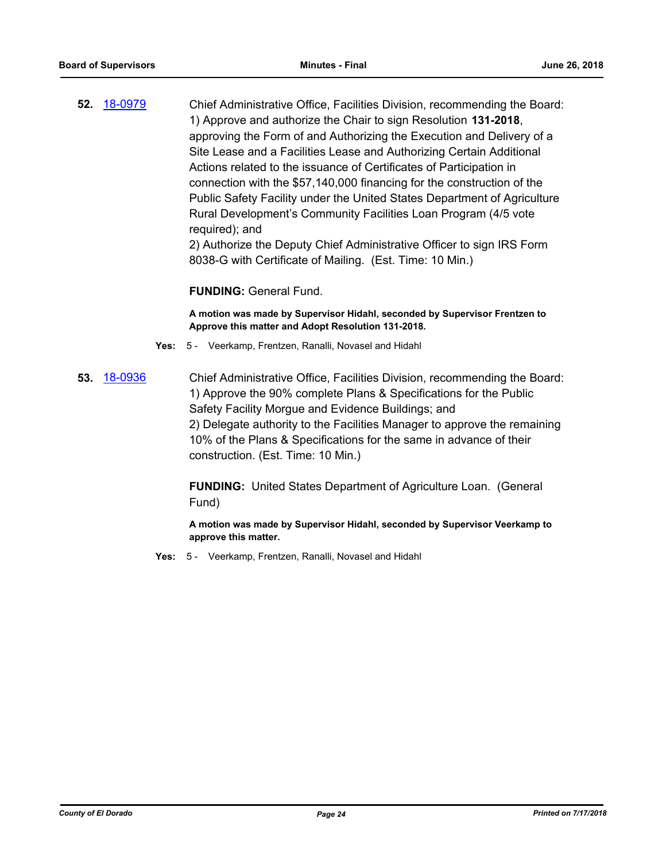**52.** [18-0979](http://eldorado.legistar.com/gateway.aspx?m=l&id=/matter.aspx?key=24327) Chief Administrative Office, Facilities Division, recommending the Board: 1) Approve and authorize the Chair to sign Resolution **131-2018**, approving the Form of and Authorizing the Execution and Delivery of a Site Lease and a Facilities Lease and Authorizing Certain Additional Actions related to the issuance of Certificates of Participation in connection with the \$57,140,000 financing for the construction of the Public Safety Facility under the United States Department of Agriculture Rural Development's Community Facilities Loan Program (4/5 vote required); and

2) Authorize the Deputy Chief Administrative Officer to sign IRS Form 8038-G with Certificate of Mailing. (Est. Time: 10 Min.)

### **FUNDING:** General Fund.

**A motion was made by Supervisor Hidahl, seconded by Supervisor Frentzen to Approve this matter and Adopt Resolution 131-2018.**

- **Yes:** 5 Veerkamp, Frentzen, Ranalli, Novasel and Hidahl
- **53.** [18-0936](http://eldorado.legistar.com/gateway.aspx?m=l&id=/matter.aspx?key=24284) Chief Administrative Office, Facilities Division, recommending the Board: 1) Approve the 90% complete Plans & Specifications for the Public Safety Facility Morgue and Evidence Buildings; and 2) Delegate authority to the Facilities Manager to approve the remaining 10% of the Plans & Specifications for the same in advance of their construction. (Est. Time: 10 Min.)

**FUNDING:** United States Department of Agriculture Loan. (General Fund)

**A motion was made by Supervisor Hidahl, seconded by Supervisor Veerkamp to approve this matter.**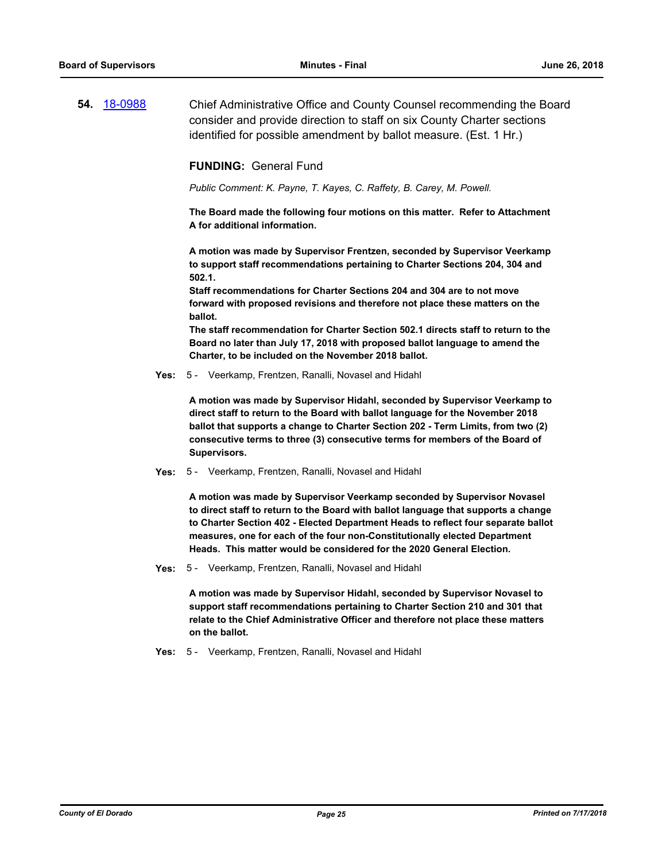**54.** [18-0988](http://eldorado.legistar.com/gateway.aspx?m=l&id=/matter.aspx?key=24336) Chief Administrative Office and County Counsel recommending the Board consider and provide direction to staff on six County Charter sections identified for possible amendment by ballot measure. (Est. 1 Hr.)

#### **FUNDING:** General Fund

*Public Comment: K. Payne, T. Kayes, C. Raffety, B. Carey, M. Powell.*

**The Board made the following four motions on this matter. Refer to Attachment A for additional information.**

**A motion was made by Supervisor Frentzen, seconded by Supervisor Veerkamp to support staff recommendations pertaining to Charter Sections 204, 304 and 502.1.** 

**Staff recommendations for Charter Sections 204 and 304 are to not move forward with proposed revisions and therefore not place these matters on the ballot.**

**The staff recommendation for Charter Section 502.1 directs staff to return to the Board no later than July 17, 2018 with proposed ballot language to amend the Charter, to be included on the November 2018 ballot.**

**Yes:** 5 - Veerkamp, Frentzen, Ranalli, Novasel and Hidahl

**A motion was made by Supervisor Hidahl, seconded by Supervisor Veerkamp to direct staff to return to the Board with ballot language for the November 2018 ballot that supports a change to Charter Section 202 - Term Limits, from two (2) consecutive terms to three (3) consecutive terms for members of the Board of Supervisors.**

**Yes:** 5 - Veerkamp, Frentzen, Ranalli, Novasel and Hidahl

**A motion was made by Supervisor Veerkamp seconded by Supervisor Novasel to direct staff to return to the Board with ballot language that supports a change to Charter Section 402 - Elected Department Heads to reflect four separate ballot measures, one for each of the four non-Constitutionally elected Department Heads. This matter would be considered for the 2020 General Election.**

**Yes:** 5 - Veerkamp, Frentzen, Ranalli, Novasel and Hidahl

**A motion was made by Supervisor Hidahl, seconded by Supervisor Novasel to support staff recommendations pertaining to Charter Section 210 and 301 that relate to the Chief Administrative Officer and therefore not place these matters on the ballot.**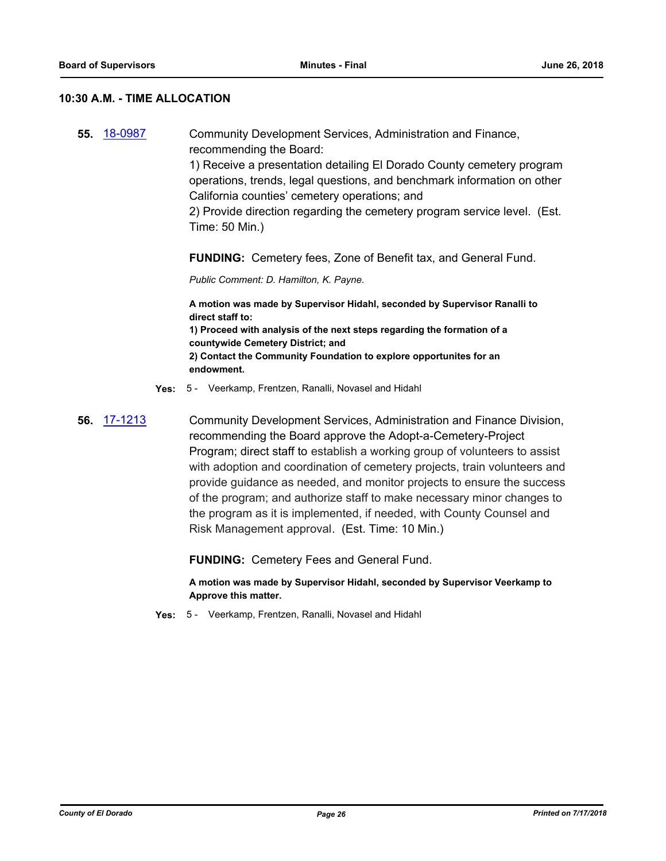#### **10:30 A.M. - TIME ALLOCATION**

**55.** [18-0987](http://eldorado.legistar.com/gateway.aspx?m=l&id=/matter.aspx?key=24335) Community Development Services, Administration and Finance, recommending the Board: 1) Receive a presentation detailing El Dorado County cemetery program operations, trends, legal questions, and benchmark information on other California counties' cemetery operations; and 2) Provide direction regarding the cemetery program service level. (Est. Time: 50 Min.) **FUNDING:** Cemetery fees, Zone of Benefit tax, and General Fund. *Public Comment: D. Hamilton, K. Payne.* **A motion was made by Supervisor Hidahl, seconded by Supervisor Ranalli to direct staff to: 1) Proceed with analysis of the next steps regarding the formation of a countywide Cemetery District; and 2) Contact the Community Foundation to explore opportunites for an endowment. Yes:** 5 - Veerkamp, Frentzen, Ranalli, Novasel and Hidahl **56.** [17-1213](http://eldorado.legistar.com/gateway.aspx?m=l&id=/matter.aspx?key=23157) Community Development Services, Administration and Finance Division, recommending the Board approve the Adopt-a-Cemetery-Project Program; direct staff to establish a working group of volunteers to assist with adoption and coordination of cemetery projects, train volunteers and provide guidance as needed, and monitor projects to ensure the success of the program; and authorize staff to make necessary minor changes to the program as it is implemented, if needed, with County Counsel and Risk Management approval. (Est. Time: 10 Min.)

**FUNDING:** Cemetery Fees and General Fund.

**A motion was made by Supervisor Hidahl, seconded by Supervisor Veerkamp to Approve this matter.**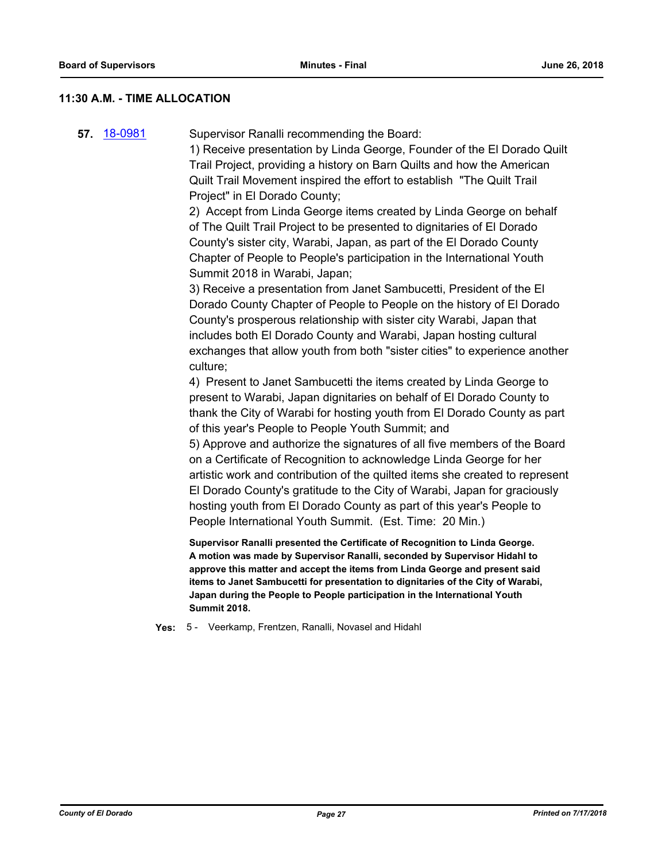## **11:30 A.M. - TIME ALLOCATION**

|  | 57 18-0981 | Supervisor Ranalli recommending the Board: |
|--|------------|--------------------------------------------|
|--|------------|--------------------------------------------|

1) Receive presentation by Linda George, Founder of the El Dorado Quilt Trail Project, providing a history on Barn Quilts and how the American Quilt Trail Movement inspired the effort to establish "The Quilt Trail Project" in El Dorado County;

2) Accept from Linda George items created by Linda George on behalf of The Quilt Trail Project to be presented to dignitaries of El Dorado County's sister city, Warabi, Japan, as part of the El Dorado County Chapter of People to People's participation in the International Youth Summit 2018 in Warabi, Japan;

3) Receive a presentation from Janet Sambucetti, President of the El Dorado County Chapter of People to People on the history of El Dorado County's prosperous relationship with sister city Warabi, Japan that includes both El Dorado County and Warabi, Japan hosting cultural exchanges that allow youth from both "sister cities" to experience another culture;

4) Present to Janet Sambucetti the items created by Linda George to present to Warabi, Japan dignitaries on behalf of El Dorado County to thank the City of Warabi for hosting youth from El Dorado County as part of this year's People to People Youth Summit; and

5) Approve and authorize the signatures of all five members of the Board on a Certificate of Recognition to acknowledge Linda George for her artistic work and contribution of the quilted items she created to represent El Dorado County's gratitude to the City of Warabi, Japan for graciously hosting youth from El Dorado County as part of this year's People to People International Youth Summit. (Est. Time: 20 Min.)

**Supervisor Ranalli presented the Certificate of Recognition to Linda George. A motion was made by Supervisor Ranalli, seconded by Supervisor Hidahl to approve this matter and accept the items from Linda George and present said items to Janet Sambucetti for presentation to dignitaries of the City of Warabi, Japan during the People to People participation in the International Youth Summit 2018.**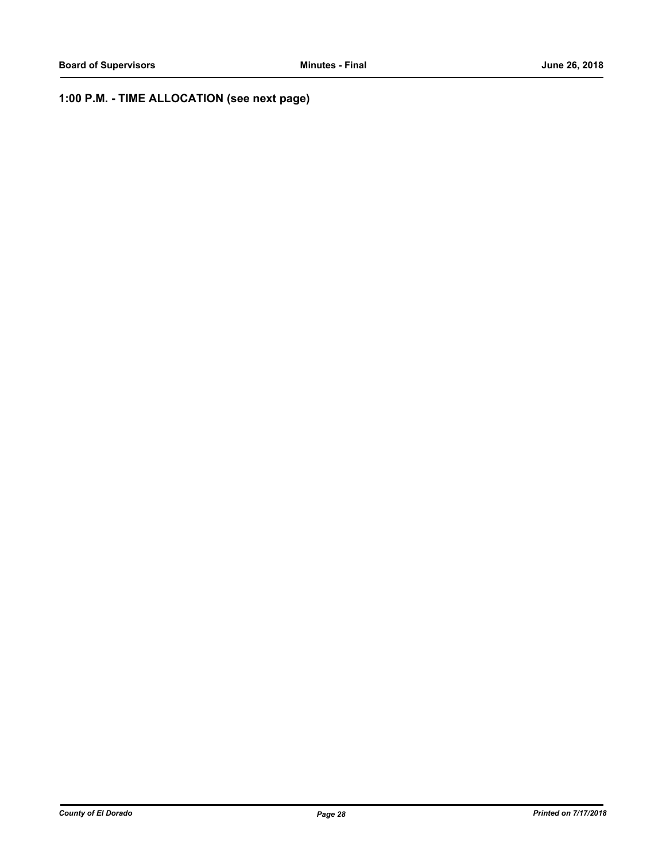## **1:00 P.M. - TIME ALLOCATION (see next page)**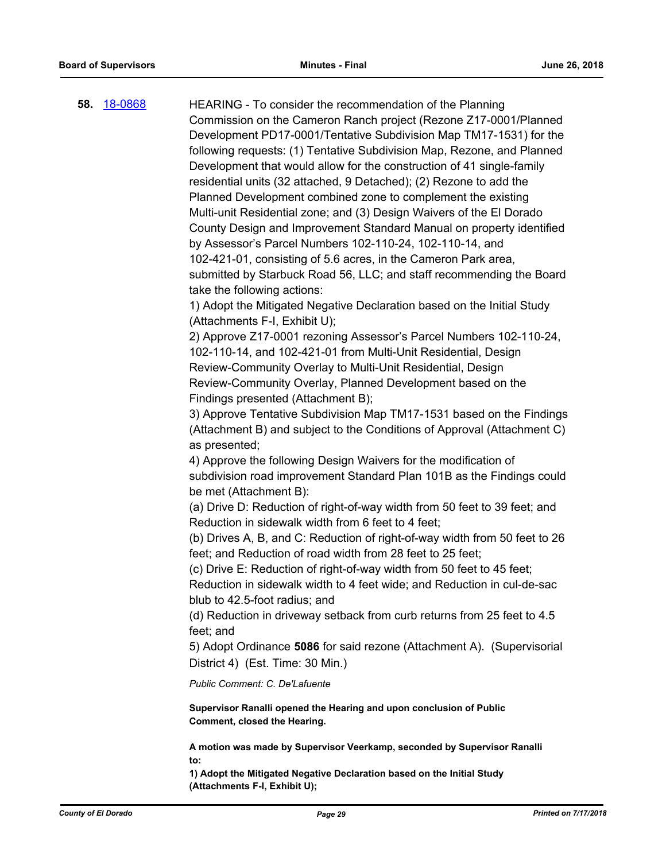| 58. | <u>18-0868</u> | HEARING - To consider the recommendation of the Planning                                                                                 |
|-----|----------------|------------------------------------------------------------------------------------------------------------------------------------------|
|     |                | Commission on the Cameron Ranch project (Rezone Z17-0001/Planned                                                                         |
|     |                | Development PD17-0001/Tentative Subdivision Map TM17-1531) for the                                                                       |
|     |                | following requests: (1) Tentative Subdivision Map, Rezone, and Planned                                                                   |
|     |                | Development that would allow for the construction of 41 single-family                                                                    |
|     |                | residential units (32 attached, 9 Detached); (2) Rezone to add the                                                                       |
|     |                | Planned Development combined zone to complement the existing                                                                             |
|     |                | Multi-unit Residential zone; and (3) Design Waivers of the El Dorado                                                                     |
|     |                | County Design and Improvement Standard Manual on property identified                                                                     |
|     |                | by Assessor's Parcel Numbers 102-110-24, 102-110-14, and                                                                                 |
|     |                | 102-421-01, consisting of 5.6 acres, in the Cameron Park area,                                                                           |
|     |                | submitted by Starbuck Road 56, LLC; and staff recommending the Board                                                                     |
|     |                | take the following actions:                                                                                                              |
|     |                | 1) Adopt the Mitigated Negative Declaration based on the Initial Study                                                                   |
|     |                | (Attachments F-I, Exhibit U);                                                                                                            |
|     |                | 2) Approve Z17-0001 rezoning Assessor's Parcel Numbers 102-110-24,                                                                       |
|     |                | 102-110-14, and 102-421-01 from Multi-Unit Residential, Design                                                                           |
|     |                | Review-Community Overlay to Multi-Unit Residential, Design                                                                               |
|     |                | Review-Community Overlay, Planned Development based on the                                                                               |
|     |                | Findings presented (Attachment B);                                                                                                       |
|     |                | 3) Approve Tentative Subdivision Map TM17-1531 based on the Findings                                                                     |
|     |                | (Attachment B) and subject to the Conditions of Approval (Attachment C)<br>as presented;                                                 |
|     |                | 4) Approve the following Design Waivers for the modification of                                                                          |
|     |                | subdivision road improvement Standard Plan 101B as the Findings could                                                                    |
|     |                | be met (Attachment B):                                                                                                                   |
|     |                | (a) Drive D: Reduction of right-of-way width from 50 feet to 39 feet; and                                                                |
|     |                | Reduction in sidewalk width from 6 feet to 4 feet;                                                                                       |
|     |                | (b) Drives A, B, and C: Reduction of right-of-way width from 50 feet to 26<br>feet; and Reduction of road width from 28 feet to 25 feet; |
|     |                | (c) Drive E: Reduction of right-of-way width from 50 feet to 45 feet;                                                                    |
|     |                | Reduction in sidewalk width to 4 feet wide; and Reduction in cul-de-sac                                                                  |
|     |                | blub to 42.5-foot radius; and                                                                                                            |
|     |                | (d) Reduction in driveway setback from curb returns from 25 feet to 4.5                                                                  |
|     |                | feet; and                                                                                                                                |
|     |                | 5) Adopt Ordinance 5086 for said rezone (Attachment A). (Supervisorial                                                                   |
|     |                | District 4) (Est. Time: 30 Min.)                                                                                                         |
|     |                | Public Comment: C. De'Lafuente                                                                                                           |
|     |                | Supervisor Ranalli opened the Hearing and upon conclusion of Public<br>Comment, closed the Hearing.                                      |
|     |                | A motion was made by Supervisor Veerkamp, seconded by Supervisor Ranalli                                                                 |
|     |                | to:<br>1) Adont the Mitigated Negative Declaration based on the Initial Study                                                            |

**1) Adopt the Mitigated Negative Declaration based on the Initial Study (Attachments F-I, Exhibit U);**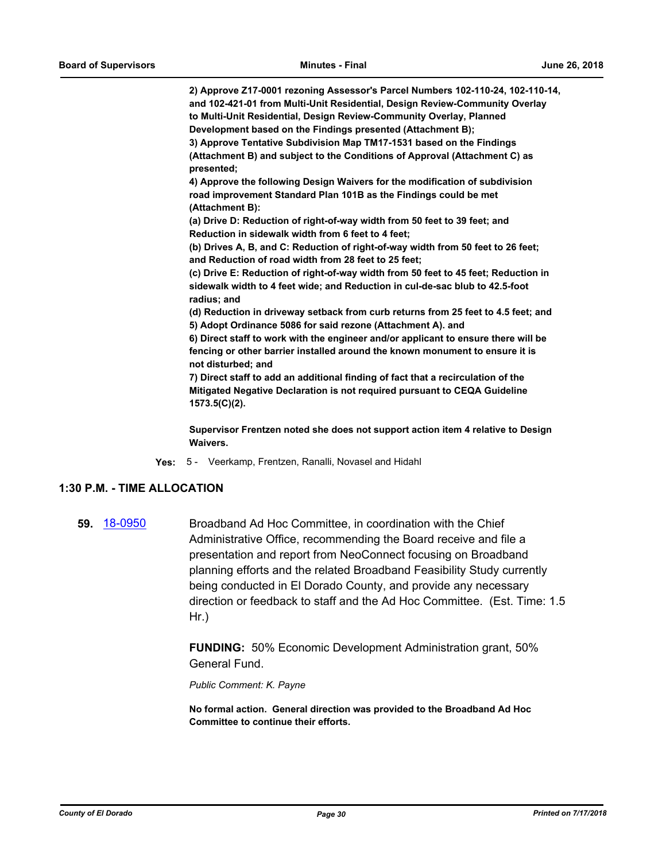**2) Approve Z17-0001 rezoning Assessor's Parcel Numbers 102-110-24, 102-110-14, and 102-421-01 from Multi-Unit Residential, Design Review-Community Overlay to Multi-Unit Residential, Design Review-Community Overlay, Planned Development based on the Findings presented (Attachment B);**

**3) Approve Tentative Subdivision Map TM17-1531 based on the Findings (Attachment B) and subject to the Conditions of Approval (Attachment C) as presented;** 

**4) Approve the following Design Waivers for the modification of subdivision road improvement Standard Plan 101B as the Findings could be met (Attachment B):**

**(a) Drive D: Reduction of right-of-way width from 50 feet to 39 feet; and Reduction in sidewalk width from 6 feet to 4 feet;**

**(b) Drives A, B, and C: Reduction of right-of-way width from 50 feet to 26 feet; and Reduction of road width from 28 feet to 25 feet;**

**(c) Drive E: Reduction of right-of-way width from 50 feet to 45 feet; Reduction in sidewalk width to 4 feet wide; and Reduction in cul-de-sac blub to 42.5-foot radius; and**

**(d) Reduction in driveway setback from curb returns from 25 feet to 4.5 feet; and 5) Adopt Ordinance 5086 for said rezone (Attachment A). and**

**6) Direct staff to work with the engineer and/or applicant to ensure there will be fencing or other barrier installed around the known monument to ensure it is not disturbed; and**

**7) Direct staff to add an additional finding of fact that a recirculation of the Mitigated Negative Declaration is not required pursuant to CEQA Guideline 1573.5(C)(2).**

**Supervisor Frentzen noted she does not support action item 4 relative to Design Waivers.**

**Yes:** 5 - Veerkamp, Frentzen, Ranalli, Novasel and Hidahl

#### **1:30 P.M. - TIME ALLOCATION**

**59.** [18-0950](http://eldorado.legistar.com/gateway.aspx?m=l&id=/matter.aspx?key=24298) Broadband Ad Hoc Committee, in coordination with the Chief Administrative Office, recommending the Board receive and file a presentation and report from NeoConnect focusing on Broadband planning efforts and the related Broadband Feasibility Study currently being conducted in El Dorado County, and provide any necessary direction or feedback to staff and the Ad Hoc Committee. (Est. Time: 1.5 Hr.)

> **FUNDING:** 50% Economic Development Administration grant, 50% General Fund.

*Public Comment: K. Payne*

**No formal action. General direction was provided to the Broadband Ad Hoc Committee to continue their efforts.**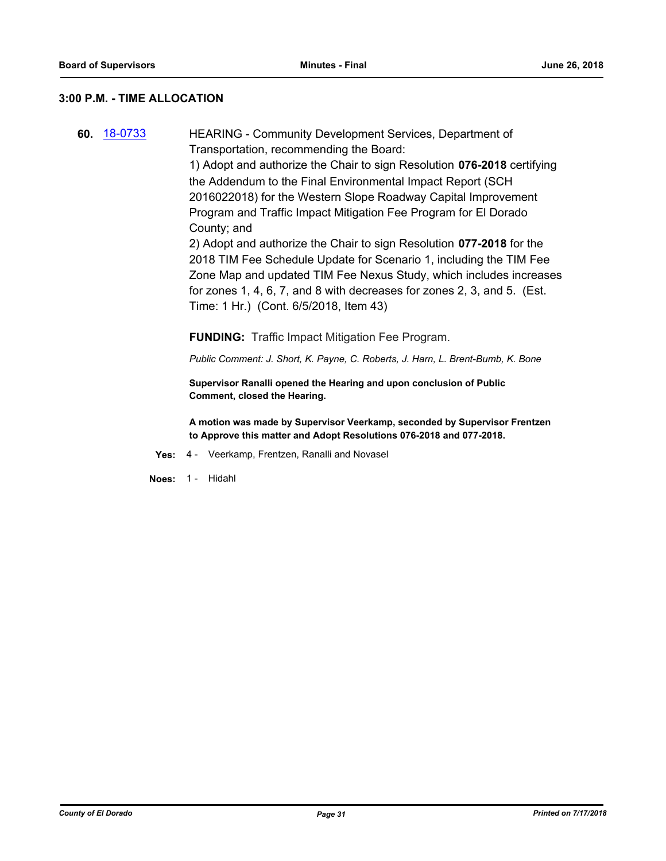#### **3:00 P.M. - TIME ALLOCATION**

**60.** [18-0733](http://eldorado.legistar.com/gateway.aspx?m=l&id=/matter.aspx?key=24080) HEARING - Community Development Services, Department of Transportation, recommending the Board: 1) Adopt and authorize the Chair to sign Resolution **076-2018** certifying the Addendum to the Final Environmental Impact Report (SCH 2016022018) for the Western Slope Roadway Capital Improvement Program and Traffic Impact Mitigation Fee Program for El Dorado County; and 2) Adopt and authorize the Chair to sign Resolution **077-2018** for the 2018 TIM Fee Schedule Update for Scenario 1, including the TIM Fee Zone Map and updated TIM Fee Nexus Study, which includes increases for zones 1, 4, 6, 7, and 8 with decreases for zones 2, 3, and 5. (Est. Time: 1 Hr.) (Cont. 6/5/2018, Item 43) **FUNDING:** Traffic Impact Mitigation Fee Program.

*Public Comment: J. Short, K. Payne, C. Roberts, J. Harn, L. Brent-Bumb, K. Bone*

**Supervisor Ranalli opened the Hearing and upon conclusion of Public Comment, closed the Hearing.**

**A motion was made by Supervisor Veerkamp, seconded by Supervisor Frentzen to Approve this matter and Adopt Resolutions 076-2018 and 077-2018.**

- **Yes:** 4 Veerkamp, Frentzen, Ranalli and Novasel
- **Noes:** 1 Hidahl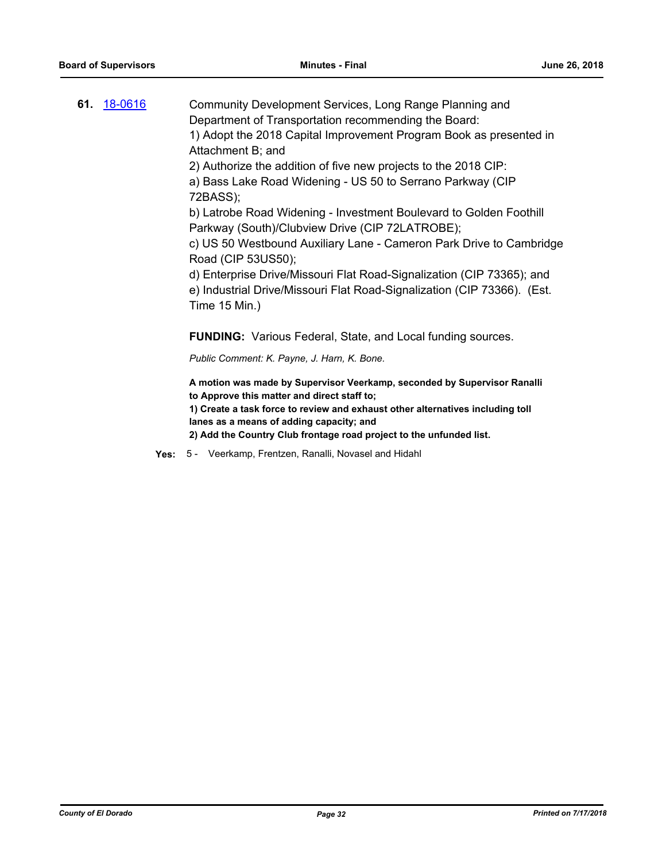| 61. 18-0616 | Community Development Services, Long Range Planning and                                                                                                           |
|-------------|-------------------------------------------------------------------------------------------------------------------------------------------------------------------|
|             | Department of Transportation recommending the Board:                                                                                                              |
|             | 1) Adopt the 2018 Capital Improvement Program Book as presented in                                                                                                |
|             | Attachment B; and                                                                                                                                                 |
|             | 2) Authorize the addition of five new projects to the 2018 CIP:                                                                                                   |
|             | a) Bass Lake Road Widening - US 50 to Serrano Parkway (CIP<br>72BASS);                                                                                            |
|             | b) Latrobe Road Widening - Investment Boulevard to Golden Foothill                                                                                                |
|             | Parkway (South)/Clubview Drive (CIP 72LATROBE);                                                                                                                   |
|             | c) US 50 Westbound Auxiliary Lane - Cameron Park Drive to Cambridge<br>Road (CIP 53US50);                                                                         |
|             | d) Enterprise Drive/Missouri Flat Road-Signalization (CIP 73365); and<br>e) Industrial Drive/Missouri Flat Road-Signalization (CIP 73366). (Est.<br>Time 15 Min.) |
|             | <b>FUNDING:</b> Various Federal, State, and Local funding sources.                                                                                                |
|             | Public Comment: K. Payne, J. Harn, K. Bone.                                                                                                                       |
|             | A motion was made by Supervisor Veerkamp, seconded by Supervisor Ranalli<br>to Approve this matter and direct staff to;                                           |
|             | 1) Create a task force to review and exhaust other alternatives including toll<br>lanes as a means of adding capacity; and                                        |
|             | 2) Add the Country Club frontage road project to the unfunded list.                                                                                               |

- 
- **Yes:** 5 Veerkamp, Frentzen, Ranalli, Novasel and Hidahl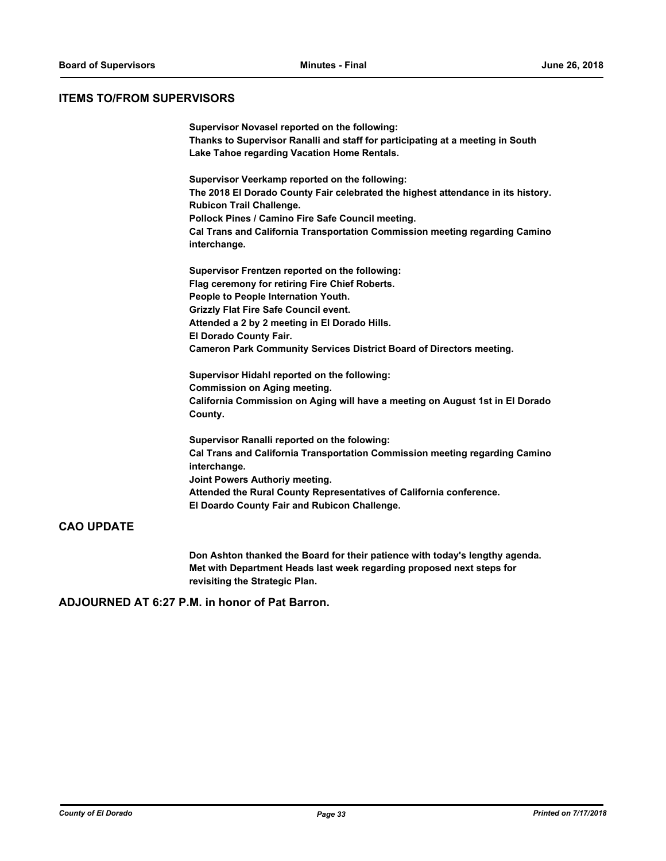## **ITEMS TO/FROM SUPERVISORS**

|                   | Supervisor Novasel reported on the following:                                    |
|-------------------|----------------------------------------------------------------------------------|
|                   | Thanks to Supervisor Ranalli and staff for participating at a meeting in South   |
|                   | Lake Tahoe regarding Vacation Home Rentals.                                      |
|                   |                                                                                  |
|                   | Supervisor Veerkamp reported on the following:                                   |
|                   | The 2018 El Dorado County Fair celebrated the highest attendance in its history. |
|                   | <b>Rubicon Trail Challenge.</b>                                                  |
|                   | Pollock Pines / Camino Fire Safe Council meeting.                                |
|                   | Cal Trans and California Transportation Commission meeting regarding Camino      |
|                   | interchange.                                                                     |
|                   |                                                                                  |
|                   | Supervisor Frentzen reported on the following:                                   |
|                   | Flag ceremony for retiring Fire Chief Roberts.                                   |
|                   | People to People Internation Youth.                                              |
|                   | <b>Grizzly Flat Fire Safe Council event.</b>                                     |
|                   | Attended a 2 by 2 meeting in El Dorado Hills.                                    |
|                   | El Dorado County Fair.                                                           |
|                   | <b>Cameron Park Community Services District Board of Directors meeting.</b>      |
|                   | Supervisor Hidahl reported on the following:                                     |
|                   | <b>Commission on Aging meeting.</b>                                              |
|                   | California Commission on Aging will have a meeting on August 1st in El Dorado    |
|                   | County.                                                                          |
|                   | Supervisor Ranalli reported on the folowing:                                     |
|                   | Cal Trans and California Transportation Commission meeting regarding Camino      |
|                   | interchange.                                                                     |
|                   | Joint Powers Authoriy meeting.                                                   |
|                   | Attended the Rural County Representatives of California conference.              |
|                   | El Doardo County Fair and Rubicon Challenge.                                     |
|                   |                                                                                  |
| <b>CAO UPDATE</b> |                                                                                  |

**Don Ashton thanked the Board for their patience with today's lengthy agenda. Met with Department Heads last week regarding proposed next steps for revisiting the Strategic Plan.**

**ADJOURNED AT 6:27 P.M. in honor of Pat Barron.**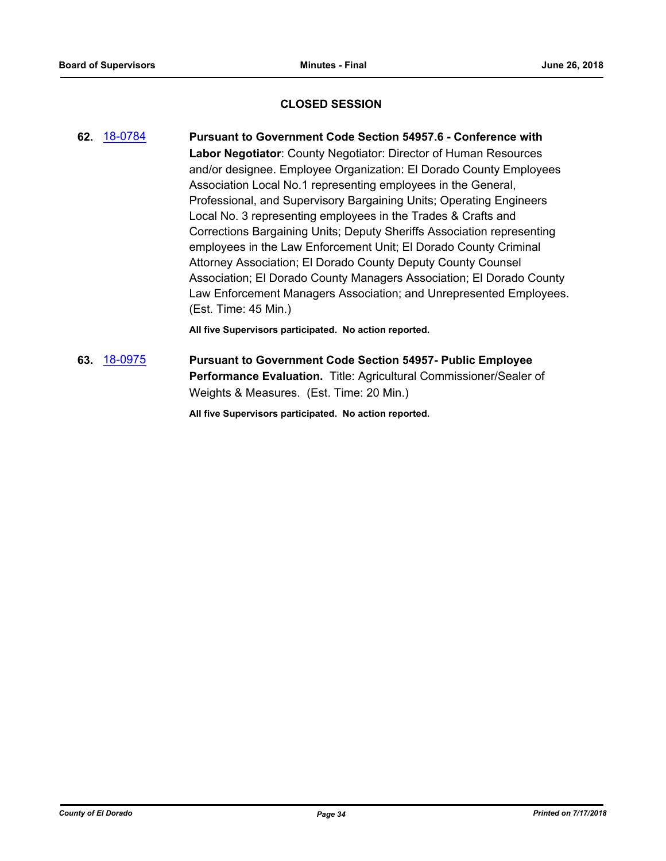## **CLOSED SESSION**

- **62.** [18-0784](http://eldorado.legistar.com/gateway.aspx?m=l&id=/matter.aspx?key=24131) **Pursuant to Government Code Section 54957.6 Conference with Labor Negotiator**: County Negotiator: Director of Human Resources and/or designee. Employee Organization: El Dorado County Employees Association Local No.1 representing employees in the General, Professional, and Supervisory Bargaining Units; Operating Engineers Local No. 3 representing employees in the Trades & Crafts and Corrections Bargaining Units; Deputy Sheriffs Association representing employees in the Law Enforcement Unit; El Dorado County Criminal Attorney Association; El Dorado County Deputy County Counsel Association; El Dorado County Managers Association; El Dorado County Law Enforcement Managers Association; and Unrepresented Employees. (Est. Time: 45 Min.) **All five Supervisors participated. No action reported.**
- **63.** [18-0975](http://eldorado.legistar.com/gateway.aspx?m=l&id=/matter.aspx?key=24323) **Pursuant to Government Code Section 54957- Public Employee Performance Evaluation.** Title: Agricultural Commissioner/Sealer of Weights & Measures. (Est. Time: 20 Min.)

**All five Supervisors participated. No action reported.**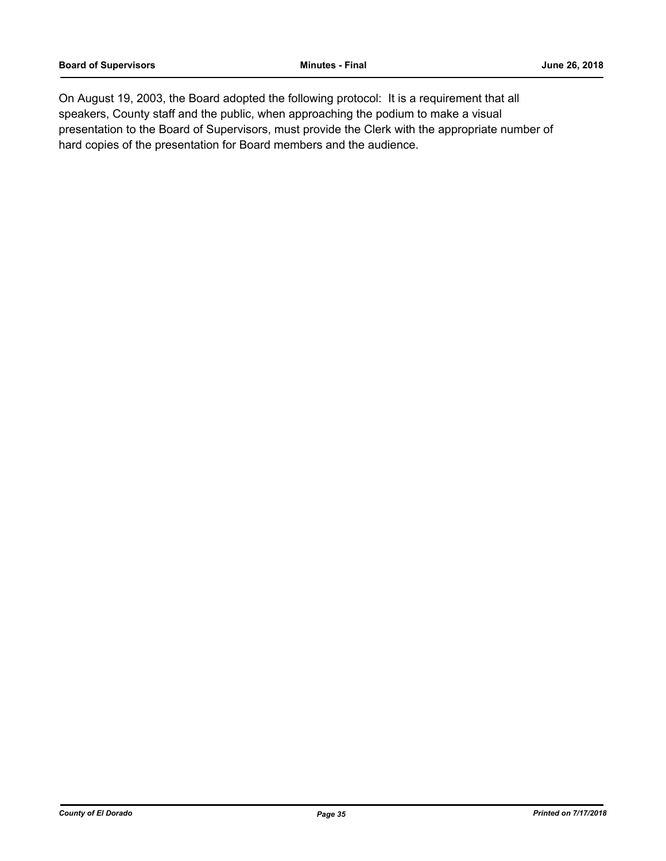On August 19, 2003, the Board adopted the following protocol: It is a requirement that all speakers, County staff and the public, when approaching the podium to make a visual presentation to the Board of Supervisors, must provide the Clerk with the appropriate number of hard copies of the presentation for Board members and the audience.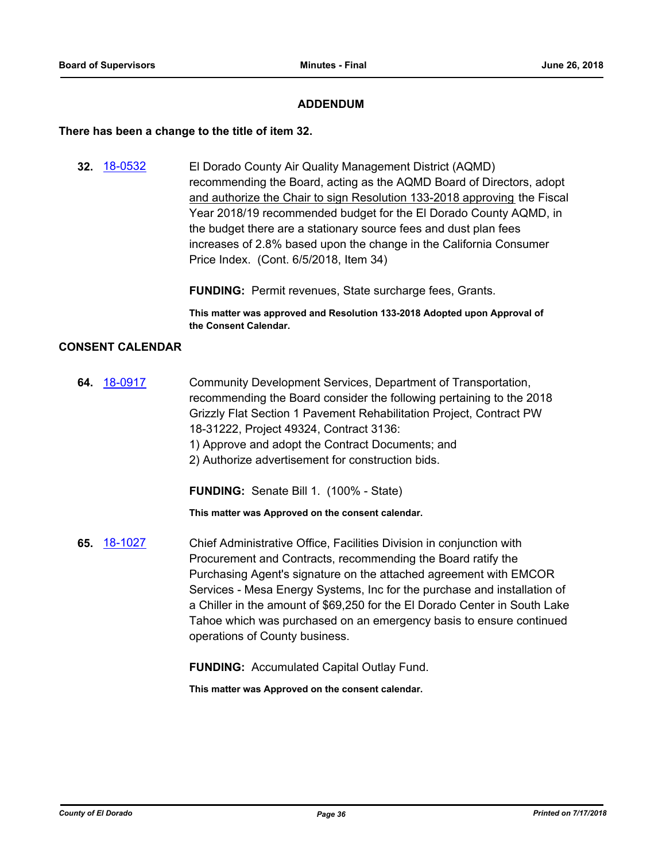### **ADDENDUM**

#### **There has been a change to the title of item 32.**

**32.** [18-0532](http://eldorado.legistar.com/gateway.aspx?m=l&id=/matter.aspx?key=23877) El Dorado County Air Quality Management District (AQMD) recommending the Board, acting as the AQMD Board of Directors, adopt and authorize the Chair to sign Resolution 133-2018 approving the Fiscal Year 2018/19 recommended budget for the El Dorado County AQMD, in the budget there are a stationary source fees and dust plan fees increases of 2.8% based upon the change in the California Consumer Price Index. (Cont. 6/5/2018, Item 34)

**FUNDING:** Permit revenues, State surcharge fees, Grants.

**This matter was approved and Resolution 133-2018 Adopted upon Approval of the Consent Calendar.**

### **CONSENT CALENDAR**

**64.** [18-0917](http://eldorado.legistar.com/gateway.aspx?m=l&id=/matter.aspx?key=24265) Community Development Services, Department of Transportation, recommending the Board consider the following pertaining to the 2018 Grizzly Flat Section 1 Pavement Rehabilitation Project, Contract PW 18-31222, Project 49324, Contract 3136: 1) Approve and adopt the Contract Documents; and 2) Authorize advertisement for construction bids.

**FUNDING:** Senate Bill 1. (100% - State)

**This matter was Approved on the consent calendar.**

**65.** [18-1027](http://eldorado.legistar.com/gateway.aspx?m=l&id=/matter.aspx?key=24376) Chief Administrative Office, Facilities Division in conjunction with Procurement and Contracts, recommending the Board ratify the Purchasing Agent's signature on the attached agreement with EMCOR Services - Mesa Energy Systems, Inc for the purchase and installation of a Chiller in the amount of \$69,250 for the El Dorado Center in South Lake Tahoe which was purchased on an emergency basis to ensure continued operations of County business.

**FUNDING:** Accumulated Capital Outlay Fund.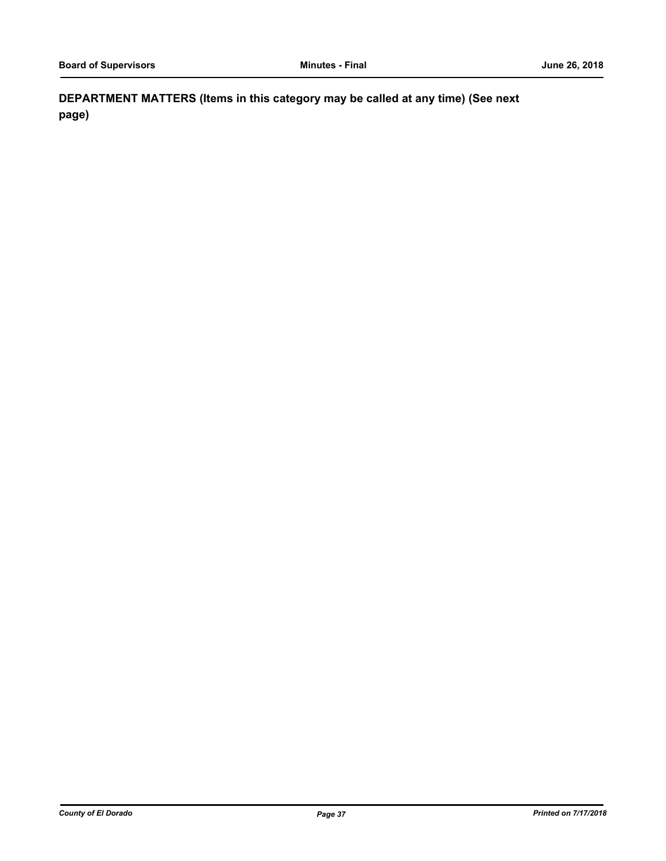**DEPARTMENT MATTERS (Items in this category may be called at any time) (See next page)**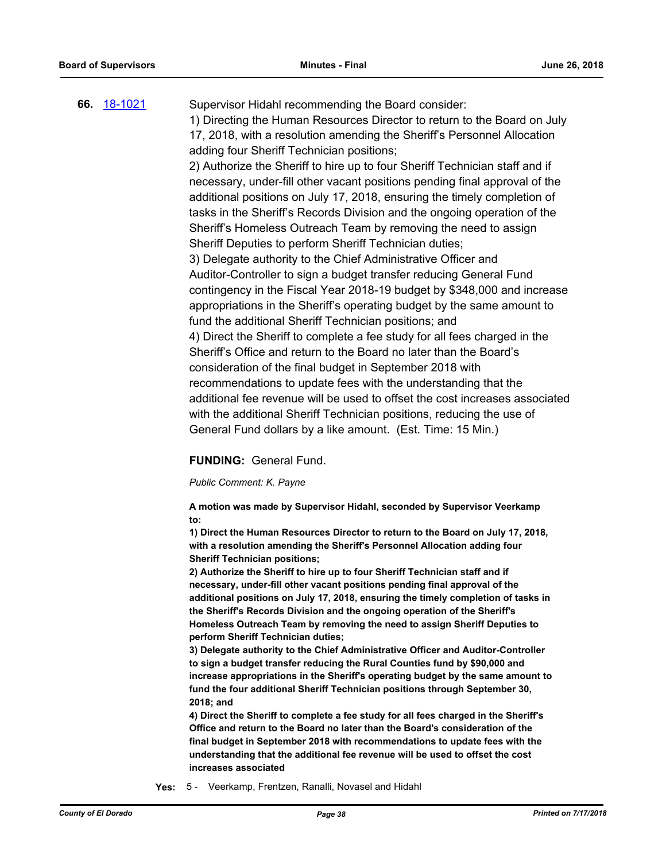## **66.** [18-1021](http://eldorado.legistar.com/gateway.aspx?m=l&id=/matter.aspx?key=24370) Supervisor Hidahl recommending the Board consider: 1) Directing the Human Resources Director to return to the Board on July 17, 2018, with a resolution amending the Sheriff's Personnel Allocation adding four Sheriff Technician positions; 2) Authorize the Sheriff to hire up to four Sheriff Technician staff and if necessary, under-fill other vacant positions pending final approval of the additional positions on July 17, 2018, ensuring the timely completion of tasks in the Sheriff's Records Division and the ongoing operation of the Sheriff's Homeless Outreach Team by removing the need to assign Sheriff Deputies to perform Sheriff Technician duties; 3) Delegate authority to the Chief Administrative Officer and Auditor-Controller to sign a budget transfer reducing General Fund contingency in the Fiscal Year 2018-19 budget by \$348,000 and increase appropriations in the Sheriff's operating budget by the same amount to fund the additional Sheriff Technician positions; and 4) Direct the Sheriff to complete a fee study for all fees charged in the Sheriff's Office and return to the Board no later than the Board's consideration of the final budget in September 2018 with recommendations to update fees with the understanding that the additional fee revenue will be used to offset the cost increases associated with the additional Sheriff Technician positions, reducing the use of General Fund dollars by a like amount. (Est. Time: 15 Min.)

## **FUNDING:** General Fund.

## *Public Comment: K. Payne*

**A motion was made by Supervisor Hidahl, seconded by Supervisor Veerkamp to:**

**1) Direct the Human Resources Director to return to the Board on July 17, 2018, with a resolution amending the Sheriff's Personnel Allocation adding four Sheriff Technician positions;**

**2) Authorize the Sheriff to hire up to four Sheriff Technician staff and if necessary, under-fill other vacant positions pending final approval of the additional positions on July 17, 2018, ensuring the timely completion of tasks in the Sheriff's Records Division and the ongoing operation of the Sheriff's Homeless Outreach Team by removing the need to assign Sheriff Deputies to perform Sheriff Technician duties;**

**3) Delegate authority to the Chief Administrative Officer and Auditor-Controller to sign a budget transfer reducing the Rural Counties fund by \$90,000 and increase appropriations in the Sheriff's operating budget by the same amount to fund the four additional Sheriff Technician positions through September 30, 2018; and**

**4) Direct the Sheriff to complete a fee study for all fees charged in the Sheriff's Office and return to the Board no later than the Board's consideration of the final budget in September 2018 with recommendations to update fees with the understanding that the additional fee revenue will be used to offset the cost increases associated**